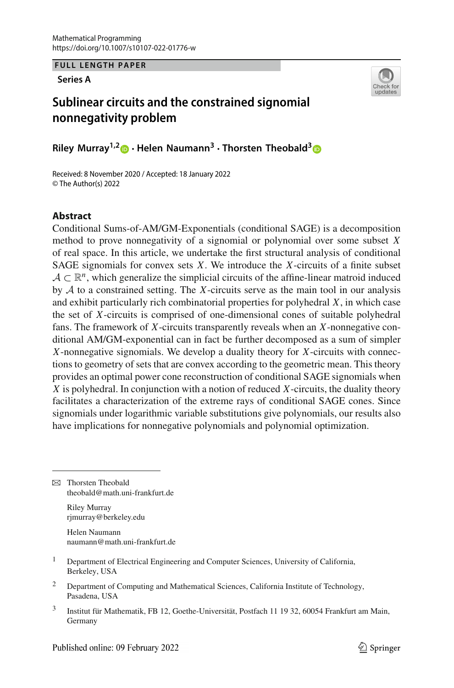**FULL LENGTH PAPER**

**Series A**



# **Sublinear circuits and the constrained signomial nonnegativity problem**

**Riley Murray1,[2](http://orcid.org/0000-0003-1461-6458) · Helen Naumann3 · Thorsten Theobald[3](http://orcid.org/0000-0002-5769-0917)**

Received: 8 November 2020 / Accepted: 18 January 2022 © The Author(s) 2022

# **Abstract**

Conditional Sums-of-AM/GM-Exponentials (conditional SAGE) is a decomposition method to prove nonnegativity of a signomial or polynomial over some subset *X* of real space. In this article, we undertake the first structural analysis of conditional SAGE signomials for convex sets *X*. We introduce the *X*-circuits of a finite subset  $A \subset \mathbb{R}^n$ , which generalize the simplicial circuits of the affine-linear matroid induced by *A* to a constrained setting. The *X*-circuits serve as the main tool in our analysis and exhibit particularly rich combinatorial properties for polyhedral *X*, in which case the set of *X*-circuits is comprised of one-dimensional cones of suitable polyhedral fans. The framework of *X*-circuits transparently reveals when an *X*-nonnegative conditional AM/GM-exponential can in fact be further decomposed as a sum of simpler *X*-nonnegative signomials. We develop a duality theory for *X*-circuits with connections to geometry of sets that are convex according to the geometric mean. This theory provides an optimal power cone reconstruction of conditional SAGE signomials when *X* is polyhedral. In conjunction with a notion of reduced *X*-circuits, the duality theory facilitates a characterization of the extreme rays of conditional SAGE cones. Since signomials under logarithmic variable substitutions give polynomials, our results also have implications for nonnegative polynomials and polynomial optimization.

**Example Theorem Theobald** theobald@math.uni-frankfurt.de

> Riley Murray rjmurray@berkeley.edu

Helen Naumann naumann@math.uni-frankfurt.de

- <sup>1</sup> Department of Electrical Engineering and Computer Sciences, University of California, Berkeley, USA
- <sup>2</sup> Department of Computing and Mathematical Sciences, California Institute of Technology, Pasadena, USA
- <sup>3</sup> Institut für Mathematik, FB 12, Goethe-Universität, Postfach 11 19 32, 60054 Frankfurt am Main, Germany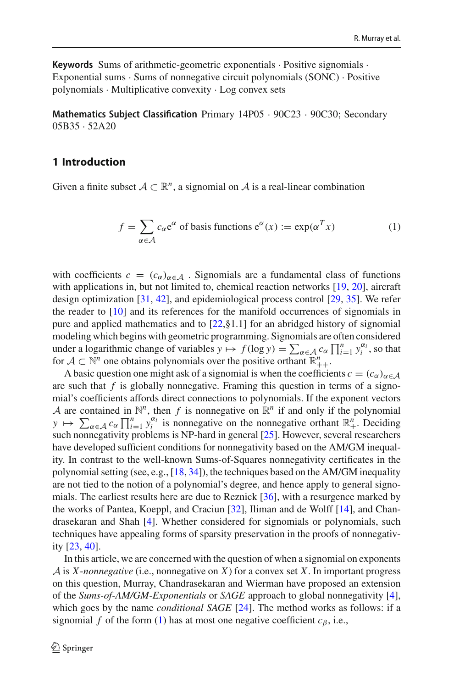**Keywords** Sums of arithmetic-geometric exponentials · Positive signomials · Exponential sums · Sums of nonnegative circuit polynomials (SONC) · Positive polynomials · Multiplicative convexity · Log convex sets

**Mathematics Subject Classification** Primary 14P05 · 90C23 · 90C30; Secondary 05B35 · 52A20

# **1 Introduction**

Given a finite subset  $A \subset \mathbb{R}^n$ , a signomial on *A* is a real-linear combination

<span id="page-1-0"></span>
$$
f = \sum_{\alpha \in \mathcal{A}} c_{\alpha} e^{\alpha} \text{ of basis functions } e^{\alpha}(x) := \exp(\alpha^{T} x) \tag{1}
$$

with coefficients  $c = (c_{\alpha})_{\alpha \in A}$ . Signomials are a fundamental class of functions with applications in, but not limited to, chemical reaction networks [\[19,](#page-33-0) [20\]](#page-33-1), aircraft design optimization [\[31,](#page-34-0) [42\]](#page-34-1), and epidemiological process control [\[29,](#page-34-2) [35](#page-34-3)]. We refer the reader to [\[10](#page-33-2)] and its references for the manifold occurrences of signomials in pure and applied mathematics and to [\[22,](#page-33-3)§1.1] for an abridged history of signomial modeling which begins with geometric programming. Signomials are often considered under a logarithmic change of variables  $y \mapsto f(\log y) = \sum_{\alpha \in \mathcal{A}} c_{\alpha} \prod_{i=1}^{n} y_i^{\alpha_i}$ , so that for  $A \subset \mathbb{N}^n$  one obtains polynomials over the positive orthant  $\mathbb{R}^n_{++}$ .

A basic question one might ask of a signomial is when the coefficients  $c = (c_{\alpha})_{\alpha \in A}$ are such that  $f$  is globally nonnegative. Framing this question in terms of a signomial's coefficients affords direct connections to polynomials. If the exponent vectors *A* are contained in  $\mathbb{N}^n$ , then *f* is nonnegative on  $\mathbb{R}^n$  if and only if the polynomial  $y \mapsto \sum_{\alpha \in \mathcal{A}} c_{\alpha} \prod_{i=1}^{n} y_i^{\alpha_i}$  is nonnegative on the nonnegative orthant  $\mathbb{R}^n_+$ . Deciding such nonnegativity problems is NP-hard in general [\[25\]](#page-34-4). However, several researchers have developed sufficient conditions for nonnegativity based on the AM/GM inequality. In contrast to the well-known Sums-of-Squares nonnegativity certificates in the polynomial setting (see, e.g., [\[18](#page-33-4), [34](#page-34-5)]), the techniques based on the AM/GM inequality are not tied to the notion of a polynomial's degree, and hence apply to general signomials. The earliest results here are due to Reznick [\[36\]](#page-34-6), with a resurgence marked by the works of Pantea, Koeppl, and Craciun [\[32](#page-34-7)], Iliman and de Wolff [\[14](#page-33-5)], and Chandrasekaran and Shah [\[4](#page-33-6)]. Whether considered for signomials or polynomials, such techniques have appealing forms of sparsity preservation in the proofs of nonnegativity [\[23](#page-33-7), [40\]](#page-34-8).

In this article, we are concerned with the question of when a signomial on exponents *A* is *X*-*nonnegative* (i.e., nonnegative on *X*) for a convex set *X*. In important progress on this question, Murray, Chandrasekaran and Wierman have proposed an extension of the *Sums-of-AM/GM-Exponentials* or *SAGE* approach to global nonnegativity [\[4](#page-33-6)], which goes by the name *conditional SAGE* [\[24\]](#page-34-9). The method works as follows: if a signomial *f* of the form [\(1\)](#page-1-0) has at most one negative coefficient  $c_{\beta}$ , i.e.,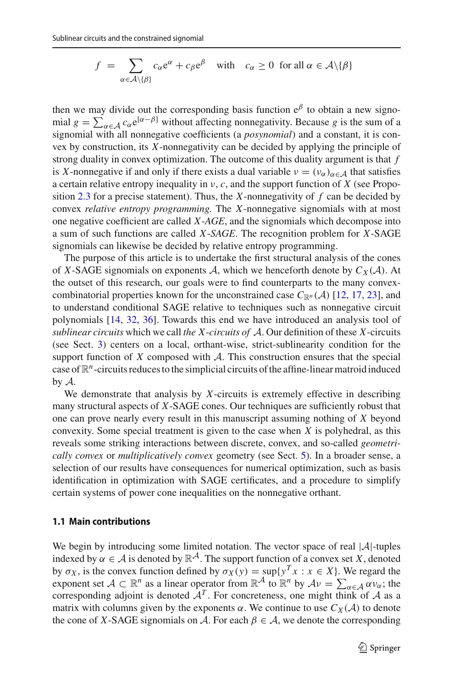$$
f = \sum_{\alpha \in \mathcal{A} \setminus \{\beta\}} c_{\alpha} e^{\alpha} + c_{\beta} e^{\beta} \quad \text{with} \quad c_{\alpha} \ge 0 \text{ for all } \alpha \in \mathcal{A} \setminus \{\beta\}
$$

then we may divide out the corresponding basis function  $e^{\beta}$  to obtain a new signomial  $g = \sum_{\alpha \in \mathcal{A}} c_{\alpha} e^{[\alpha-\beta]}$  without affecting nonnegativity. Because *g* is the sum of a signomial with all nonnegative coefficients (a *posynomial*) and a constant, it is convex by construction, its *X*-nonnegativity can be decided by applying the principle of strong duality in convex optimization. The outcome of this duality argument is that *f* is X-nonnegative if and only if there exists a dual variable  $v = (v_{\alpha})_{\alpha \in A}$  that satisfies a certain relative entropy inequality in ν, *c*, and the support function of *X* (see Proposition [2.3](#page-7-0) for a precise statement). Thus, the *X*-nonnegativity of *f* can be decided by convex *relative entropy programming.* The *X*-nonnegative signomials with at most one negative coefficient are called *X*-*AGE*, and the signomials which decompose into a sum of such functions are called *X*-*SAGE*. The recognition problem for *X*-SAGE signomials can likewise be decided by relative entropy programming.

The purpose of this article is to undertake the first structural analysis of the cones of *X*-SAGE signomials on exponents *A*, which we henceforth denote by  $C_X(\mathcal{A})$ . At the outset of this research, our goals were to find counterparts to the many convexcombinatorial properties known for the unconstrained case  $C_{\mathbb{R}^n}(\mathcal{A})$  [\[12](#page-33-8), [17](#page-33-9), [23](#page-33-7)], and to understand conditional SAGE relative to techniques such as nonnegative circuit polynomials [\[14,](#page-33-5) [32](#page-34-7), [36](#page-34-6)]. Towards this end we have introduced an analysis tool of *sublinear circuits* which we call *the X*-*circuits of A*. Our definition of these *X*-circuits (see Sect. [3\)](#page-8-0) centers on a local, orthant-wise, strict-sublinearity condition for the support function of *X* composed with *A*. This construction ensures that the special case of  $\mathbb{R}^n$ -circuits reduces to the simplicial circuits of the affine-linear matroid induced by *A*.

We demonstrate that analysis by *X*-circuits is extremely effective in describing many structural aspects of *X*-SAGE cones. Our techniques are sufficiently robust that one can prove nearly every result in this manuscript assuming nothing of *X* beyond convexity. Some special treatment is given to the case when *X* is polyhedral, as this reveals some striking interactions between discrete, convex, and so-called *geometrically convex* or *multiplicatively convex* geometry (see Sect. [5\)](#page-19-0). In a broader sense, a selection of our results have consequences for numerical optimization, such as basis identification in optimization with SAGE certificates, and a procedure to simplify certain systems of power cone inequalities on the nonnegative orthant.

## **1.1 Main contributions**

We begin by introducing some limited notation. The vector space of real |*A*|-tuples indexed by  $\alpha \in \mathcal{A}$  is denoted by  $\mathbb{R}^{\mathcal{A}}$ . The support function of a convex set *X*, denoted by  $\sigma_X$ , is the convex function defined by  $\sigma_X(y) = \sup\{y^T x : x \in X\}$ . We regard the exponent set  $A \subset \mathbb{R}^n$  as a linear operator from  $\mathbb{R}^{\mathcal{A}}$  to  $\mathbb{R}^n$  by  $\mathcal{A}v = \sum_{\alpha \in \mathcal{A}} \alpha v_{\alpha}$ ; the corresponding adjoint is denoted  $A<sup>T</sup>$ . For concreteness, one might think of *A* as a matrix with columns given by the exponents  $\alpha$ . We continue to use  $C_X(\mathcal{A})$  to denote the cone of *X*-SAGE signomials on *A*. For each  $\beta \in A$ , we denote the corresponding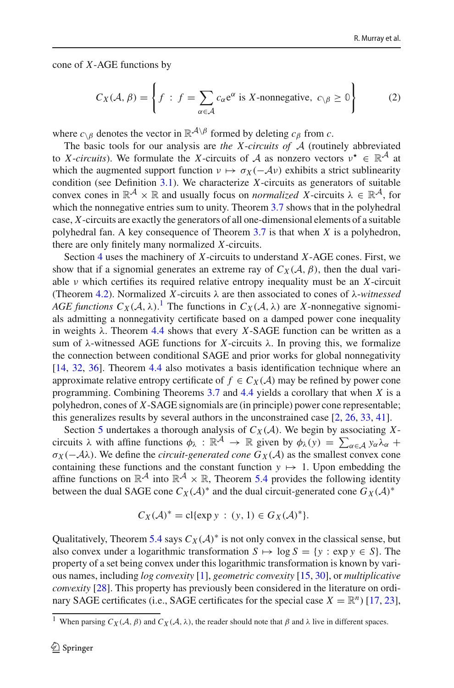cone of *X*-AGE functions by

<span id="page-3-1"></span>
$$
C_X(\mathcal{A}, \beta) = \left\{ f : f = \sum_{\alpha \in \mathcal{A}} c_{\alpha} e^{\alpha} \text{ is } X \text{-nonnegative, } c_{\backslash \beta} \ge 0 \right\}
$$
 (2)

where  $c_{\delta}$  denotes the vector in  $\mathbb{R}^{\mathcal{A}\setminus\beta}$  formed by deleting  $c_{\beta}$  from *c*.

The basic tools for our analysis are *the X*-*circuits of A* (routinely abbreviated to *X*-*circuits*). We formulate the *X*-circuits of *A* as nonzero vectors  $v^* \in \mathbb{R}^{\mathcal{A}}$  at which the augmented support function  $v \mapsto \sigma_X(-\mathcal{A}v)$  exhibits a strict sublinearity condition (see Definition [3.1\)](#page-8-1). We characterize *X*-circuits as generators of suitable convex cones in  $\mathbb{R}^{\mathcal{A}} \times \mathbb{R}$  and usually focus on *normalized X*-circuits  $\lambda \in \mathbb{R}^{\mathcal{A}}$ , for which the nonnegative entries sum to unity. Theorem [3.7](#page-12-0) shows that in the polyhedral case, *X*-circuits are exactly the generators of all one-dimensional elements of a suitable polyhedral fan. A key consequence of Theorem [3.7](#page-12-0) is that when *X* is a polyhedron, there are only finitely many normalized *X*-circuits.

Section [4](#page-14-0) uses the machinery of *X*-circuits to understand *X*-AGE cones. First, we show that if a signomial generates an extreme ray of  $C_X(\mathcal{A}, \beta)$ , then the dual variable ν which certifies its required relative entropy inequality must be an *X*-circuit (Theorem [4.2\)](#page-15-0). Normalized *X*-circuits λ are then associated to cones of λ-*witnessed AGE functions*  $C_X(\mathcal{A}, \lambda)$ .<sup>[1](#page-3-0)</sup> The functions in  $C_X(\mathcal{A}, \lambda)$  are *X*-nonnegative signomials admitting a nonnegativity certificate based on a damped power cone inequality in weights  $\lambda$ . Theorem [4.4](#page-16-0) shows that every *X*-SAGE function can be written as a sum of  $\lambda$ -witnessed AGE functions for *X*-circuits  $\lambda$ . In proving this, we formalize the connection between conditional SAGE and prior works for global nonnegativity [\[14](#page-33-5), [32,](#page-34-7) [36\]](#page-34-6). Theorem [4.4](#page-16-0) also motivates a basis identification technique where an approximate relative entropy certificate of  $f \in C_X(\mathcal{A})$  may be refined by power cone programming. Combining Theorems [3.7](#page-12-0) and [4.4](#page-16-0) yields a corollary that when *X* is a polyhedron, cones of *X*-SAGE signomials are (in principle) power cone representable; this generalizes results by several authors in the unconstrained case [\[2](#page-33-10), [26](#page-34-10), [33](#page-34-11), [41](#page-34-12)].

Section [5](#page-19-0) undertakes a thorough analysis of  $C_X(\mathcal{A})$ . We begin by associating Xcircuits  $\lambda$  with affine functions  $\phi_{\lambda} : \mathbb{R}^{\mathcal{A}} \to \mathbb{R}$  given by  $\phi_{\lambda}(y) = \sum_{\alpha \in \mathcal{A}} y_{\alpha} \lambda_{\alpha} +$  $\sigma_X(-\mathcal{A}\lambda)$ . We define the *circuit-generated cone*  $G_X(\mathcal{A})$  as the smallest convex cone containing these functions and the constant function  $y \mapsto 1$ . Upon embedding the affine functions on  $\mathbb{R}^{\mathcal{A}}$  into  $\mathbb{R}^{\mathcal{A}} \times \mathbb{R}$ , Theorem [5.4](#page-20-0) provides the following identity between the dual SAGE cone  $C_X(\mathcal{A})^*$  and the dual circuit-generated cone  $G_X(\mathcal{A})^*$ 

$$
C_X(\mathcal{A})^* = \text{cl}\{\exp y : (y, 1) \in G_X(\mathcal{A})^*\}.
$$

Qualitatively, Theorem [5.4](#page-20-0) says  $C_X(\mathcal{A})^*$  is not only convex in the classical sense, but also convex under a logarithmic transformation  $S \mapsto \log S = \{y : \exp y \in S\}$ . The property of a set being convex under this logarithmic transformation is known by various names, including *log convexity* [\[1](#page-33-11)], *geometric convexity* [\[15,](#page-33-12) [30](#page-34-13)], or *multiplicative convexity* [\[28](#page-34-14)]. This property has previously been considered in the literature on ordinary SAGE certificates (i.e., SAGE certificates for the special case  $X = \mathbb{R}^n$ ) [\[17](#page-33-9), [23](#page-33-7)],

<span id="page-3-0"></span><sup>&</sup>lt;sup>1</sup> When parsing  $C_X(\mathcal{A}, \beta)$  and  $C_X(\mathcal{A}, \lambda)$ , the reader should note that  $\beta$  and  $\lambda$  live in different spaces.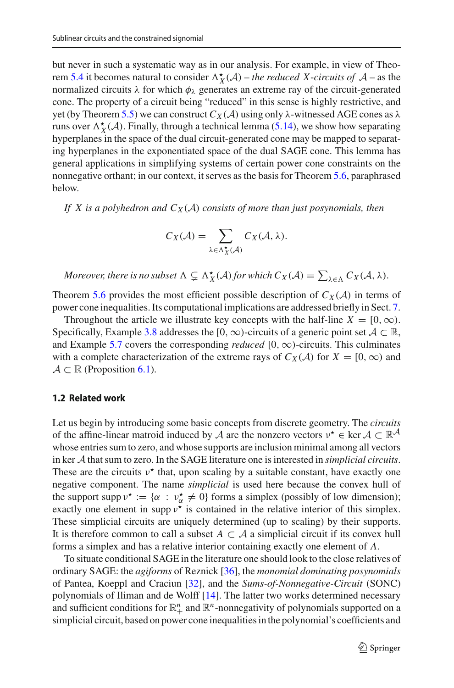but never in such a systematic way as in our analysis. For example, in view of Theo-rem [5.4](#page-20-0) it becomes natural to consider  $\Lambda_X^{\star}(A)$  – *the reduced X*-*circuits of*  $A$  – as the normalized circuits  $\lambda$  for which  $\phi_{\lambda}$  generates an extreme ray of the circuit-generated cone. The property of a circuit being "reduced" in this sense is highly restrictive, and yet (by Theorem [5.5\)](#page-21-0) we can construct  $C_X(\mathcal{A})$  using only  $\lambda$ -witnessed AGE cones as  $\lambda$ runs over  $\Lambda_X^{\star}(\mathcal{A})$ . Finally, through a technical lemma [\(5.14\)](#page-26-0), we show how separating hyperplanes in the space of the dual circuit-generated cone may be mapped to separating hyperplanes in the exponentiated space of the dual SAGE cone. This lemma has general applications in simplifying systems of certain power cone constraints on the nonnegative orthant; in our context, it serves as the basis for Theorem [5.6,](#page-21-1) paraphrased below.

*If* X is a polyhedron and  $C_X(\mathcal{A})$  consists of more than just posynomials, then

$$
C_X(\mathcal{A}) = \sum_{\lambda \in \Lambda_X^{\star}(\mathcal{A})} C_X(\mathcal{A}, \lambda).
$$

*Moreover, there is no subset*  $\Lambda \subsetneq \Lambda_X^{\star}(A)$  *for which*  $C_X(\mathcal{A}) = \sum_{\lambda \in \Lambda} C_X(\mathcal{A}, \lambda)$ .

Theorem [5.6](#page-21-1) provides the most efficient possible description of  $C_X(\mathcal{A})$  in terms of power cone inequalities. Its computational implications are addressed briefly in Sect. [7.](#page-30-0)

Throughout the article we illustrate key concepts with the half-line  $X = [0, \infty)$ . Specifically, Example [3.8](#page-13-0) addresses the [0,  $\infty$ )-circuits of a generic point set  $A \subset \mathbb{R}$ , and Example [5.7](#page-21-2) covers the corresponding *reduced*  $[0, \infty)$ -circuits. This culminates with a complete characterization of the extreme rays of  $C_X(\mathcal{A})$  for  $X = [0, \infty)$  and  $A \subset \mathbb{R}$  (Proposition [6.1\)](#page-28-0).

## **1.2 Related work**

Let us begin by introducing some basic concepts from discrete geometry. The *circuits* of the affine-linear matroid induced by *A* are the nonzero vectors  $v^* \in \text{ker } A \subset \mathbb{R}^A$ whose entries sum to zero, and whose supports are inclusion minimal among all vectors in ker *A* that sum to zero. In the SAGE literature one is interested in *simplicial circuits*. These are the circuits  $v^*$  that, upon scaling by a suitable constant, have exactly one negative component. The name *simplicial* is used here because the convex hull of the support supp  $v^* := {\alpha : v^*_{\alpha} \neq 0}$  forms a simplex (possibly of low dimension); exactly one element in supp  $v^*$  is contained in the relative interior of this simplex. These simplicial circuits are uniquely determined (up to scaling) by their supports. It is therefore common to call a subset  $A \subset A$  a simplicial circuit if its convex hull forms a simplex and has a relative interior containing exactly one element of *A*.

To situate conditional SAGE in the literature one should look to the close relatives of ordinary SAGE: the *agiforms* of Reznick [\[36\]](#page-34-6), the *monomial dominating posynomials* of Pantea, Koeppl and Craciun [\[32](#page-34-7)], and the *Sums-of-Nonnegative-Circuit* (SONC) polynomials of Iliman and de Wolff [\[14\]](#page-33-5). The latter two works determined necessary and sufficient conditions for  $\mathbb{R}^n_+$  and  $\mathbb{R}^n$ -nonnegativity of polynomials supported on a simplicial circuit, based on power cone inequalities in the polynomial's coefficients and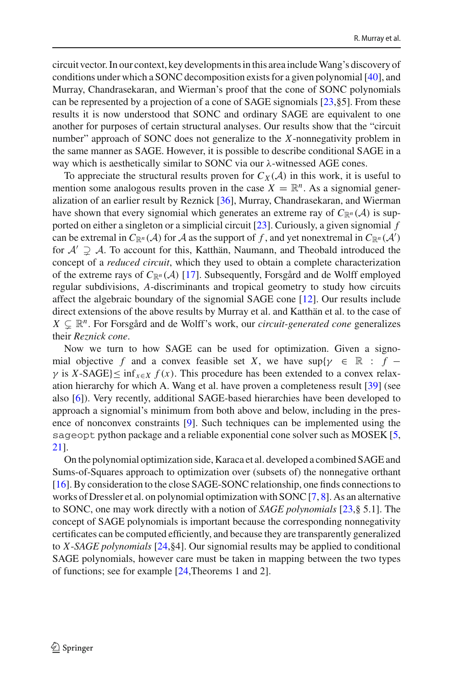circuit vector. In our context, key developments in this area includeWang's discovery of conditions under which a SONC decomposition exists for a given polynomial [\[40](#page-34-8)], and Murray, Chandrasekaran, and Wierman's proof that the cone of SONC polynomials can be represented by a projection of a cone of SAGE signomials [\[23](#page-33-7),§5]. From these results it is now understood that SONC and ordinary SAGE are equivalent to one another for purposes of certain structural analyses. Our results show that the "circuit number" approach of SONC does not generalize to the *X*-nonnegativity problem in the same manner as SAGE. However, it is possible to describe conditional SAGE in a way which is aesthetically similar to SONC via our λ-witnessed AGE cones.

To appreciate the structural results proven for  $C_X(\mathcal{A})$  in this work, it is useful to mention some analogous results proven in the case  $X = \mathbb{R}^n$ . As a signomial generalization of an earlier result by Reznick [\[36](#page-34-6)], Murray, Chandrasekaran, and Wierman have shown that every signomial which generates an extreme ray of  $C_{\mathbb{R}^n}(\mathcal{A})$  is supported on either a singleton or a simplicial circuit [\[23\]](#page-33-7). Curiously, a given signomial *f* can be extremal in  $C_{\mathbb{R}^n}(\mathcal{A})$  for  $\mathcal{A}$  as the support of  $f$ , and yet nonextremal in  $C_{\mathbb{R}^n}(\mathcal{A}')$ for  $A' \supsetneq A$ . To account for this, Katthän, Naumann, and Theobald introduced the concept of a *reduced circuit*, which they used to obtain a complete characterization of the extreme rays of  $C_{\mathbb{R}^n}(\mathcal{A})$  [\[17\]](#page-33-9). Subsequently, Forsgård and de Wolff employed regular subdivisions, *A*-discriminants and tropical geometry to study how circuits affect the algebraic boundary of the signomial SAGE cone [\[12\]](#page-33-8). Our results include direct extensions of the above results by Murray et al. and Katthän et al. to the case of  $X \subsetneq \mathbb{R}^n$ . For Forsgård and de Wolff's work, our *circuit-generated cone* generalizes their *Reznick cone*.

Now we turn to how SAGE can be used for optimization. Given a signomial objective *f* and a convex feasible set *X*, we have  $\sup\{\gamma \in \mathbb{R} : f - \gamma\}$  $\gamma$  is *X*-SAGE} inf<sub>*x*∈*X*</sub>  $f(x)$ . This procedure has been extended to a convex relaxation hierarchy for which A. Wang et al. have proven a completeness result [\[39](#page-34-15)] (see also [\[6](#page-33-13)]). Very recently, additional SAGE-based hierarchies have been developed to approach a signomial's minimum from both above and below, including in the presence of nonconvex constraints [\[9\]](#page-33-14). Such techniques can be implemented using the sageopt python package and a reliable exponential cone solver such as MOSEK [\[5,](#page-33-15) [21\]](#page-33-16).

On the polynomial optimization side, Karaca et al. developed a combined SAGE and Sums-of-Squares approach to optimization over (subsets of) the nonnegative orthant [\[16](#page-33-17)]. By consideration to the close SAGE-SONC relationship, one finds connections to works of Dressler et al. on polynomial optimization with SONC  $[7, 8]$  $[7, 8]$  $[7, 8]$ . As an alternative to SONC, one may work directly with a notion of *SAGE polynomials* [\[23,](#page-33-7)§ 5.1]. The concept of SAGE polynomials is important because the corresponding nonnegativity certificates can be computed efficiently, and because they are transparently generalized to *X*-*SAGE polynomials* [\[24](#page-34-9),§4]. Our signomial results may be applied to conditional SAGE polynomials, however care must be taken in mapping between the two types of functions; see for example [\[24,](#page-34-9)Theorems 1 and 2].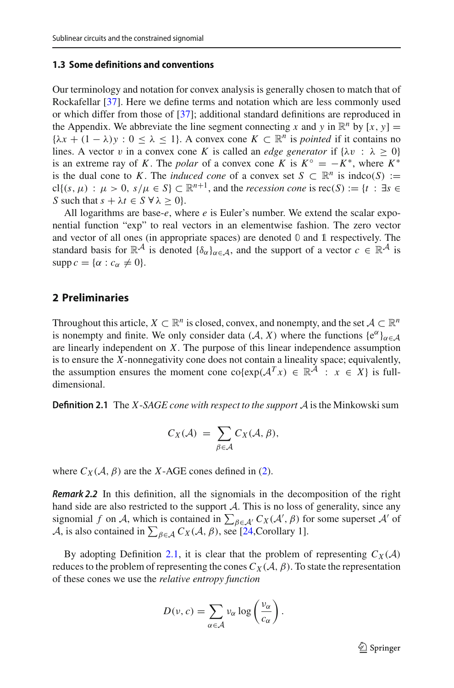### **1.3 Some definitions and conventions**

Our terminology and notation for convex analysis is generally chosen to match that of Rockafellar [\[37](#page-34-16)]. Here we define terms and notation which are less commonly used or which differ from those of [\[37](#page-34-16)]; additional standard definitions are reproduced in the Appendix. We abbreviate the line segment connecting *x* and *y* in  $\mathbb{R}^n$  by  $[x, y] =$  $\{\lambda x + (1 - \lambda)y : 0 \le \lambda \le 1\}$ . A convex cone  $K \subset \mathbb{R}^n$  is *pointed* if it contains no lines. A vector v in a convex cone *K* is called an *edge generator* if  $\{\lambda v : \lambda \ge 0\}$ is an extreme ray of *K*. The *polar* of a convex cone *K* is  $K^{\circ} = -K^*$ , where  $K^*$ is the dual cone to *K*. The *induced cone* of a convex set  $S \subset \mathbb{R}^n$  is  $\text{indco}(S) :=$ cl{ $(s, \mu)$  :  $\mu > 0$ ,  $s/\mu \in S$ }  $\subset \mathbb{R}^{n+1}$ , and the *recession cone* is  $\text{rec}(S) := \{t : \exists s \in S\}$ *S* such that  $s + \lambda t \in S \ \forall \lambda > 0$ .

All logarithms are base-*e*, where *e* is Euler's number. We extend the scalar exponential function "exp" to real vectors in an elementwise fashion. The zero vector and vector of all ones (in appropriate spaces) are denoted **0** and 1 respectively. The standard basis for  $\mathbb{R}^{\mathcal{A}}$  is denoted  $\{\delta_{\alpha}\}_{{\alpha \in \mathcal{A}}}$ , and the support of a vector  $c \in \mathbb{R}^{\mathcal{A}}$  is  $\text{supp } c = \{ \alpha : c_{\alpha} \neq 0 \}.$ 

# **2 Preliminaries**

Throughout this article,  $X \subset \mathbb{R}^n$  is closed, convex, and nonempty, and the set  $A \subset \mathbb{R}^n$ is nonempty and finite. We only consider data  $(A, X)$  where the functions  $\{e^{\alpha}\}_{\alpha \in A}$ are linearly independent on *X*. The purpose of this linear independence assumption is to ensure the *X*-nonnegativity cone does not contain a lineality space; equivalently, the assumption ensures the moment cone co $\{ \exp(\mathcal{A}^T x) \in \mathbb{R}^{\tilde{\mathcal{A}}} : x \in X \}$  is fulldimensional.

<span id="page-6-0"></span>**Definition 2.1** The *X*-*SAGE cone with respect to the support A* is the Minkowski sum

$$
C_X(\mathcal{A}) = \sum_{\beta \in \mathcal{A}} C_X(\mathcal{A}, \beta),
$$

where  $C_X(\mathcal{A}, \beta)$  are the *X*-AGE cones defined in [\(2\)](#page-3-1).

*Remark 2.2* In this definition, all the signomials in the decomposition of the right hand side are also restricted to the support *A*. This is no loss of generality, since any signomial *f* on *A*, which is contained in  $\sum_{\beta \in A'} C_X(A', \beta)$  for some superset *A'* of *A*, is also contained in  $\sum_{\beta \in A} C_X(\mathcal{A}, \beta)$ , see [\[24](#page-34-9),Corollary 1].

By adopting Definition [2.1,](#page-6-0) it is clear that the problem of representing  $C_X(\mathcal{A})$ reduces to the problem of representing the cones  $C_X(\mathcal{A}, \beta)$ . To state the representation of these cones we use the *relative entropy function*

$$
D(\nu, c) = \sum_{\alpha \in \mathcal{A}} \nu_{\alpha} \log \left( \frac{\nu_{\alpha}}{c_{\alpha}} \right).
$$

 $\mathcal{D}$  Springer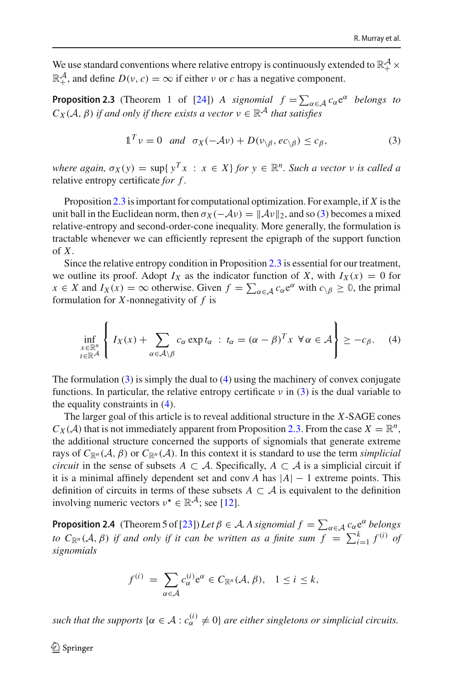We use standard conventions where relative entropy is continuously extended to  $\mathbb{R}^{\mathcal{A}}_{+}$  ×  $\mathbb{R}^{\mathcal{A}}_+$ , and define  $D(\nu, c) = \infty$  if either  $\nu$  or *c* has a negative component.

**Proposition 2.3** (Theorem 1 of [\[24](#page-34-9)]) *A signomial*  $f = \sum_{\alpha \in A} c_{\alpha} e^{\alpha}$  *belongs to*  $C_X(\mathcal{A}, \beta)$  *if and only if there exists a vector*  $v \in \mathbb{R}^{\mathcal{A}}$  *that satisfies* 

<span id="page-7-1"></span><span id="page-7-0"></span>
$$
\mathbb{1}^T \mathbf{v} = 0 \quad \text{and} \quad \sigma_X(-\mathcal{A}\mathbf{v}) + D(\mathbf{v}_{\setminus\beta}, ec_{\setminus\beta}) \leq c_{\beta},\tag{3}
$$

*where again,*  $\sigma_X(y) = \sup \{y^T x : x \in X\}$  *for*  $y \in \mathbb{R}^n$ *. Such a vector v is called a* relative entropy certificate *for f .*

Proposition [2.3](#page-7-0) is important for computational optimization. For example, if *X* is the unit ball in the Euclidean norm, then  $\sigma_X(-\mathcal{A}v) = ||\mathcal{A}v||_2$ , and so [\(3\)](#page-7-1) becomes a mixed relative-entropy and second-order-cone inequality. More generally, the formulation is tractable whenever we can efficiently represent the epigraph of the support function of *X*.

Since the relative entropy condition in Proposition [2.3](#page-7-0) is essential for our treatment, we outline its proof. Adopt  $I_X$  as the indicator function of X, with  $I_X(x) = 0$  for  $x \in X$  and  $I_X(x) = \infty$  otherwise. Given  $f = \sum_{\alpha \in A} c_{\alpha} e^{\alpha}$  with  $c_{\beta} \ge 0$ , the primal formulation for *X*-nonnegativity of *f* is

<span id="page-7-2"></span>
$$
\inf_{\substack{x \in \mathbb{R}^n \\ t \in \mathbb{R}^{\mathcal{A}}}} \left\{ I_X(x) + \sum_{\alpha \in \mathcal{A} \setminus \beta} c_{\alpha} \exp t_{\alpha} : t_{\alpha} = (\alpha - \beta)^T x \; \forall \alpha \in \mathcal{A} \right\} \ge -c_{\beta}.
$$
 (4)

The formulation [\(3\)](#page-7-1) is simply the dual to [\(4\)](#page-7-2) using the machinery of convex conjugate functions. In particular, the relative entropy certificate  $\nu$  in [\(3\)](#page-7-1) is the dual variable to the equality constraints in [\(4\)](#page-7-2).

The larger goal of this article is to reveal additional structure in the *X*-SAGE cones  $C_X(\mathcal{A})$  that is not immediately apparent from Proposition [2.3.](#page-7-0) From the case  $X = \mathbb{R}^n$ , the additional structure concerned the supports of signomials that generate extreme rays of  $C_{\mathbb{R}^n}(\mathcal{A}, \beta)$  or  $C_{\mathbb{R}^n}(\mathcal{A})$ . In this context it is standard to use the term *simplicial circuit* in the sense of subsets  $A \subset \mathcal{A}$ . Specifically,  $A \subset \mathcal{A}$  is a simplicial circuit if it is a minimal affinely dependent set and conv *A* has  $|A| - 1$  extreme points. This definition of circuits in terms of these subsets  $A \subset \mathcal{A}$  is equivalent to the definition involving numeric vectors  $v^* \in \mathbb{R}^{\mathcal{A}}$ ; see [\[12](#page-33-8)].

**Proposition 2.4** (Theorem 5 of [\[23\]](#page-33-7)) Let  $\beta \in A$ . A signomial  $f = \sum_{\alpha \in A} c_{\alpha} e^{\alpha}$  belongs *to*  $C_{\mathbb{R}^n}(\mathcal{A}, \beta)$  *if and only if it can be written as a finite sum*  $f = \sum_{i=1}^k f^{(i)}$  *of signomials*

<span id="page-7-3"></span>
$$
f^{(i)} = \sum_{\alpha \in \mathcal{A}} c_{\alpha}^{(i)} e^{\alpha} \in C_{\mathbb{R}^n}(\mathcal{A}, \beta), \quad 1 \le i \le k,
$$

*such that the supports*  $\{\alpha \in A : c_{\alpha}^{(i)} \neq 0\}$  *are either singletons or simplicial circuits.*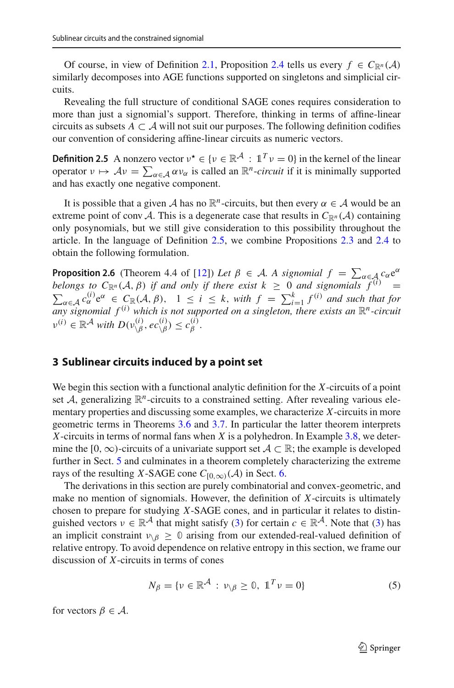Of course, in view of Definition [2.1,](#page-6-0) Proposition [2.4](#page-7-3) tells us every  $f \in C_{\mathbb{R}^n}(\mathcal{A})$ similarly decomposes into AGE functions supported on singletons and simplicial circuits.

<span id="page-8-2"></span>Revealing the full structure of conditional SAGE cones requires consideration to more than just a signomial's support. Therefore, thinking in terms of affine-linear circuits as subsets  $A \subset \mathcal{A}$  will not suit our purposes. The following definition codifies our convention of considering affine-linear circuits as numeric vectors.

**Definition 2.5** A nonzero vector  $v^* \in \{v \in \mathbb{R}^A : \mathbb{1}^T v = 0\}$  in the kernel of the linear operator  $v \mapsto Av = \sum_{\alpha \in \mathcal{A}} \alpha v_{\alpha}$  is called an  $\mathbb{R}^n$ -*circuit* if it is minimally supported and has exactly one negative component.

It is possible that a given *A* has no  $\mathbb{R}^n$ -circuits, but then every  $\alpha \in A$  would be an extreme point of conv *A*. This is a degenerate case that results in  $C_{\mathbb{R}^n}(\mathcal{A})$  containing only posynomials, but we still give consideration to this possibility throughout the article. In the language of Definition [2.5,](#page-8-2) we combine Propositions [2.3](#page-7-0) and [2.4](#page-7-3) to obtain the following formulation.

**Proposition 2.6** (Theorem 4.4 of [\[12\]](#page-33-8)) *Let*  $\beta \in A$ *. A signomial*  $f = \sum_{\alpha \in A} c_{\alpha} e^{\alpha}$ *belongs to*  $C_{\mathbb{R}^n}(\mathcal{A}, \beta)$  *if and only if there exist*  $k \geq 0$  *and signomials*  $\tilde{f}^{(i)}$  $\sum_{\alpha \in A} c_{\alpha}^{(i)} e^{\alpha} \in C_{\mathbb{R}}(\mathcal{A}, \beta)$ ,  $1 \le i \le k$ , with  $f = \sum_{i=1}^{k} f^{(i)}$  and such that for any signomial  $f^{(i)}$  which is not supported on a singleton, there exists an  $\mathbb{R}^{n}$ -circuit  $v^{(i)} \in \mathbb{R}^{\mathcal{A}}$  *with*  $D(v^{(i)}_{\setminus \beta}, ec^{(i)}_{\setminus \beta}) \leq c^{(i)}_{\beta}$ .

## <span id="page-8-0"></span>**3 Sublinear circuits induced by a point set**

We begin this section with a functional analytic definition for the *X*-circuits of a point set  $A$ , generalizing  $\mathbb{R}^n$ -circuits to a constrained setting. After revealing various elementary properties and discussing some examples, we characterize *X*-circuits in more geometric terms in Theorems [3.6](#page-10-0) and [3.7.](#page-12-0) In particular the latter theorem interprets *X*-circuits in terms of normal fans when *X* is a polyhedron. In Example [3.8,](#page-13-0) we determine the [0,  $\infty$ )-circuits of a univariate support set  $A \subset \mathbb{R}$ ; the example is developed further in Sect. [5](#page-19-0) and culminates in a theorem completely characterizing the extreme rays of the resulting *X*-SAGE cone  $C_{[0,\infty)}(\mathcal{A})$  in Sect. [6.](#page-28-1)

The derivations in this section are purely combinatorial and convex-geometric, and make no mention of signomials. However, the definition of *X*-circuits is ultimately chosen to prepare for studying *X*-SAGE cones, and in particular it relates to distinguished vectors  $v \in \mathbb{R}^{\mathcal{A}}$  that might satisfy [\(3\)](#page-7-1) for certain  $c \in \mathbb{R}^{\mathcal{A}}$ . Note that (3) has an implicit constraint  $v_{\delta} \geq 0$  arising from our extended-real-valued definition of relative entropy. To avoid dependence on relative entropy in this section, we frame our discussion of *X*-circuits in terms of cones

<span id="page-8-1"></span>
$$
N_{\beta} = \{ \nu \in \mathbb{R}^{\mathcal{A}} : \nu_{\backslash \beta} \ge 0, \mathbb{1}^T \nu = 0 \}
$$
 (5)

for vectors  $\beta \in \mathcal{A}$ .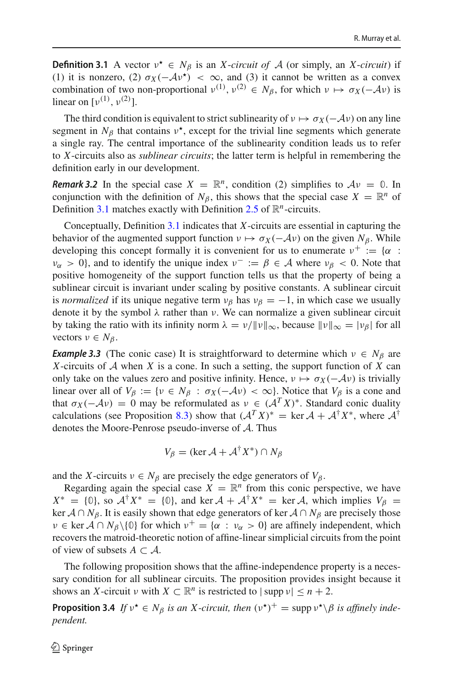**Definition 3.1** A vector  $v^* \in N_\beta$  is an *X*-*circuit of A* (or simply, an *X*-*circuit*) if (1) it is nonzero, (2)  $\sigma_X(-\mathcal{A}v^*) < \infty$ , and (3) it cannot be written as a convex combination of two non-proportional  $v^{(1)}$ ,  $v^{(2)} \in N_\beta$ , for which  $v \mapsto \sigma_X(-\mathcal{A}v)$  is linear on  $[v^{(1)}, v^{(2)}]$ .

The third condition is equivalent to strict sublinearity of  $v \mapsto \sigma_X(-\mathcal{A}v)$  on any line segment in  $N_\beta$  that contains  $v^*$ , except for the trivial line segments which generate a single ray. The central importance of the sublinearity condition leads us to refer to *X*-circuits also as *sublinear circuits*; the latter term is helpful in remembering the definition early in our development.

*Remark 3.2* In the special case  $X = \mathbb{R}^n$ , condition (2) simplifies to  $Av = 0$ . In conjunction with the definition of  $N_\beta$ , this shows that the special case  $X = \mathbb{R}^n$  of Definition [3.1](#page-8-1) matches exactly with Definition [2.5](#page-8-2) of  $\mathbb{R}^n$ -circuits.

Conceptually, Definition [3.1](#page-8-1) indicates that *X*-circuits are essential in capturing the behavior of the augmented support function  $v \mapsto \sigma_X(-\mathcal{A}v)$  on the given  $N_\beta$ . While developing this concept formally it is convenient for us to enumerate  $v^+ := \{ \alpha :$  $\nu_{\alpha} > 0$ , and to identify the unique index  $\nu^- := \beta \in \mathcal{A}$  where  $\nu_{\beta} < 0$ . Note that positive homogeneity of the support function tells us that the property of being a sublinear circuit is invariant under scaling by positive constants. A sublinear circuit is *normalized* if its unique negative term  $v_\beta$  has  $v_\beta = -1$ , in which case we usually denote it by the symbol  $\lambda$  rather than  $\nu$ . We can normalize a given sublinear circuit by taking the ratio with its infinity norm  $\lambda = v/||v||_{\infty}$ , because  $||v||_{\infty} = |v_{\beta}|$  for all vectors  $v \in N_\beta$ .

**Example 3.3** (The conic case) It is straightforward to determine which  $v \in N_\beta$  are *X*-circuits of *A* when *X* is a cone. In such a setting, the support function of *X* can only take on the values zero and positive infinity. Hence,  $v \mapsto \sigma_X(-\mathcal{A}v)$  is trivially linear over all of  $V_\beta := \{v \in N_\beta : \sigma_X(-\mathcal{A}v) < \infty\}$ . Notice that  $V_\beta$  is a cone and that  $\sigma_X(-\mathcal{A}v) = 0$  may be reformulated as  $v \in (\mathcal{A}^T X)^*$ . Standard conic duality calculations (see Proposition [8.3\)](#page-32-0) show that  $(A^T X)^* = \text{ker } A + A^{\dagger} X^*$ , where  $A^{\dagger}$ denotes the Moore-Penrose pseudo-inverse of *A*. Thus

<span id="page-9-0"></span>
$$
V_{\beta} = (\ker \mathcal{A} + \mathcal{A}^{\dagger} X^*) \cap N_{\beta}
$$

and the *X*-circuits  $v \in N_\beta$  are precisely the edge generators of  $V_\beta$ .

Regarding again the special case  $X = \mathbb{R}^n$  from this conic perspective, we have  $X^* = \{0\}$ , so  $\mathcal{A}^\dagger X^* = \{0\}$ , and ker  $\mathcal{A} + \mathcal{A}^\dagger X^* = \ker \mathcal{A}$ , which implies  $V_\beta =$ ker  $A \cap N_\beta$ . It is easily shown that edge generators of ker  $A \cap N_\beta$  are precisely those  $v \in \text{ker } A \cap N_{\beta} \setminus \{0\}$  for which  $v^+ = \{ \alpha : v_{\alpha} > 0 \}$  are affinely independent, which recovers the matroid-theoretic notion of affine-linear simplicial circuits from the point of view of subsets  $A \subset \mathcal{A}$ .

The following proposition shows that the affine-independence property is a necessary condition for all sublinear circuits. The proposition provides insight because it shows an *X*-circuit  $\nu$  with  $X \subset \mathbb{R}^n$  is restricted to  $|\sup p \nu| \leq n + 2$ .

**Proposition 3.4** *If*  $v^* \in N_\beta$  *is an X-circuit, then*  $(v^*)^+ = \text{supp } v^* \setminus \beta$  *is affinely independent.*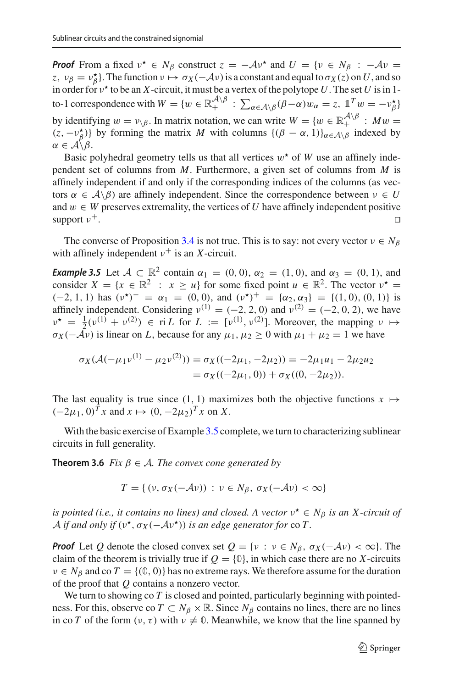*Proof* From a fixed  $v^* \in N_\beta$  construct  $z = -Av^*$  and  $U = \{v \in N_\beta : -Av =$ *z*,  $v_\beta = v_\beta^*$ . The function  $v \mapsto \sigma_X(-\mathcal{A}v)$  is a constant and equal to  $\sigma_X(z)$  on *U*, and so in order for  $v^*$  to be an *X*-circuit, it must be a vertex of the polytope U. The set U is in 1to-1 correspondence with  $W = \{w \in \mathbb{R}_+^{A \setminus \beta} : \sum_{\alpha \in A \setminus \beta} (\beta - \alpha)w_\alpha = z, 1^T w = -\nu_\beta^* \}$ by identifying  $w = v_0 \sin \theta$ . In matrix notation, we can write  $W = \{w \in \mathbb{R}_+^{A \setminus \beta} : Mw = \mathbb{R}^+ \cup Mw\}$  $(z, -\nu_{\beta}^{\star})$  by forming the matrix *M* with columns  $\{(\beta - \alpha, 1)\}_{{\alpha \in A \setminus \beta}}$  indexed by  $\alpha \in \mathcal{A} \backslash \beta$ .

Basic polyhedral geometry tells us that all vertices  $w^*$  of *W* use an affinely independent set of columns from *M*. Furthermore, a given set of columns from *M* is affinely independent if and only if the corresponding indices of the columns (as vectors  $\alpha \in A \backslash \beta$ ) are affinely independent. Since the correspondence between  $\nu \in U$ and *w* ∈ *W* preserves extremality, the vertices of *U* have affinely independent positive support  $v^+$ . support  $v^+$ .

<span id="page-10-1"></span>The converse of Proposition [3.4](#page-9-0) is not true. This is to say: not every vector  $v \in N_\beta$ with affinely independent  $v^+$  is an *X*-circuit.

*Example 3.5* Let  $A \subset \mathbb{R}^2$  contain  $\alpha_1 = (0, 0), \alpha_2 = (1, 0),$  and  $\alpha_3 = (0, 1)$ , and consider  $X = \{x \in \mathbb{R}^2 : x \ge u\}$  for some fixed point  $u \in \mathbb{R}^2$ . The vector  $v^* =$ (−2, 1, 1) has  $(v^*)^- = \alpha_1 = (0, 0)$ , and  $(v^*)^+ = {\alpha_2, \alpha_3} = {(1, 0), (0, 1)}$  is affinely independent. Considering  $v^{(1)} = (-2, 2, 0)$  and  $v^{(2)} = (-2, 0, 2)$ , we have  $v^* = \frac{1}{2}(v^{(1)} + v^{(2)}) \in \text{ri } L \text{ for } L := [v^{(1)}, v^{(2)}]$ . Moreover, the mapping  $v \mapsto$  $\sigma_X(-\overrightarrow{\mathcal{A}}\nu)$  is linear on *L*, because for any  $\mu_1, \mu_2 \ge 0$  with  $\mu_1 + \mu_2 = 1$  we have

$$
\sigma_X(\mathcal{A}(-\mu_1 \nu^{(1)} - \mu_2 \nu^{(2)})) = \sigma_X((-2\mu_1, -2\mu_2)) = -2\mu_1 u_1 - 2\mu_2 u_2
$$
  
=  $\sigma_X((-2\mu_1, 0)) + \sigma_X((0, -2\mu_2)).$ 

The last equality is true since (1, 1) maximizes both the objective functions  $x \mapsto$  $(-2\mu_1, 0)^T x$  and  $x$   $\mapsto$   $(0, -2\mu_2)^T x$  on *X*.

With the basic exercise of Example [3.5](#page-10-1) complete, we turn to characterizing sublinear circuits in full generality.

**Theorem 3.6** *Fix*  $\beta \in A$ *. The convex cone generated by* 

<span id="page-10-0"></span>
$$
T = \{ (v, \sigma_X(-\mathcal{A}v)) : v \in N_\beta, \sigma_X(-\mathcal{A}v) < \infty \}
$$

*is pointed (i.e., it contains no lines) and closed. A vector*  $v^* \in N_\beta$  *is an X-circuit of A if and only if* ( $v^{\star}$ ,  $\sigma_X(-Av^{\star})$ ) *is an edge generator for* co *T*.

*Proof* Let *Q* denote the closed convex set  $Q = \{v : v \in N_\beta, \sigma_X(-Av) < \infty\}$ . The claim of the theorem is trivially true if  $Q = \{0\}$ , in which case there are no *X*-circuits  $v \in N_\beta$  and co  $T = \{(0, 0)\}\$  has no extreme rays. We therefore assume for the duration of the proof that *Q* contains a nonzero vector.

We turn to showing co *T* is closed and pointed, particularly beginning with pointedness. For this, observe co  $T \subset N_\beta \times \mathbb{R}$ . Since  $N_\beta$  contains no lines, there are no lines in co *T* of the form  $(v, \tau)$  with  $v \neq 0$ . Meanwhile, we know that the line spanned by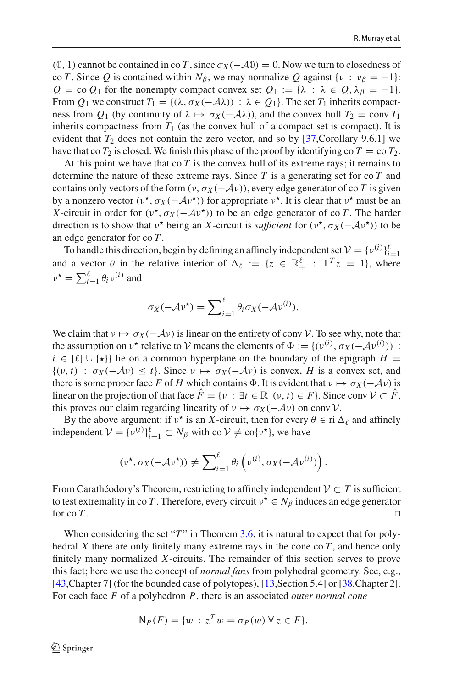$(0, 1)$  cannot be contained in co *T*, since  $\sigma_X(-A0) = 0$ . Now we turn to closedness of co *T*. Since *Q* is contained within  $N_\beta$ , we may normalize *Q* against { $\nu : \nu_\beta = -1$ }:  $Q = \text{co } Q_1$  for the nonempty compact convex set  $Q_1 := \{ \lambda : \lambda \in Q, \lambda \} = -1 \}.$ From  $Q_1$  we construct  $T_1 = \{(\lambda, \sigma_X(-\lambda\lambda)) : \lambda \in Q_1\}$ . The set  $T_1$  inherits compactness from  $Q_1$  (by continuity of  $\lambda \mapsto \sigma_X(-A\lambda)$ ), and the convex hull  $T_2 = \text{conv } T_1$ inherits compactness from  $T_1$  (as the convex hull of a compact set is compact). It is evident that  $T_2$  does not contain the zero vector, and so by [\[37](#page-34-16),Corollary 9.6.1] we have that co  $T_2$  is closed. We finish this phase of the proof by identifying co  $T = \text{co } T_2$ .

At this point we have that  $\cot T$  is the convex hull of its extreme rays; it remains to determine the nature of these extreme rays. Since *T* is a generating set for co *T* and contains only vectors of the form  $(v, \sigma_X(-\mathcal{A}v))$ , every edge generator of co *T* is given by a nonzero vector ( $v^*$ ,  $\sigma_X(-\mathcal{A}v^*)$ ) for appropriate  $v^*$ . It is clear that  $v^*$  must be an *X*-circuit in order for ( $v^{\star}$ ,  $\sigma_X(-\mathcal{A}v^{\star})$ ) to be an edge generator of co *T*. The harder direction is to show that  $v^*$  being an *X*-circuit is *sufficient* for  $(v^*, \sigma_X(-Av^*))$  to be an edge generator for co *T* .

To handle this direction, begin by defining an affinely independent set  $V = \{v^{(i)}\}_{i=1}^{\ell}$ and a vector  $\theta$  in the relative interior of  $\Delta \ell := \{z \in \mathbb{R}_+^{\ell} : \mathbb{1}^T z = 1\}$ , where  $\nu^* = \sum_{i=1}^{\ell} \theta_i \nu^{(i)}$  and

$$
\sigma_X(-\mathcal{A}\nu^\star) = \sum_{i=1}^{\ell} \theta_i \sigma_X(-\mathcal{A}\nu^{(i)}).
$$

We claim that  $v \mapsto \sigma_X(-\mathcal{A}v)$  is linear on the entirety of conv *V*. To see why, note that the assumption on  $v^*$  relative to *V* means the elements of  $\Phi := \{ (v^{(i)}, \sigma_X(-Av^{(i)})) :$ *i* ∈  $[\ell] \cup {\star}$ } lie on a common hyperplane on the boundary of the epigraph *H* =  $\{(v, t) : \sigma_X(-Av) \leq t\}$ . Since  $v \mapsto \sigma_X(-Av)$  is convex, *H* is a convex set, and there is some proper face *F* of *H* which contains  $\Phi$ . It is evident that  $v \mapsto \sigma_X(-\mathcal{A}v)$  is linear on the projection of that face  $\hat{F} = \{v : \exists t \in \mathbb{R} \ (v, t) \in F\}$ . Since conv  $\mathcal{V} \subset \hat{F}$ , this proves our claim regarding linearity of  $v \mapsto \sigma_X(-\mathcal{A}v)$  on conv *V*.

By the above argument: if  $v^*$  is an *X*-circuit, then for every  $\theta \in \text{ri } \Delta_\ell$  and affinely independent  $V = \{v^{(i)}\}_{i=1}^{\ell} \subset N_{\beta}$  with co  $V \neq \text{co}\{v^{\star}\}\text{, we have}$ 

$$
(\nu^{\star}, \sigma_X(-\mathcal{A}\nu^{\star})) \neq \sum_{i=1}^{\ell} \theta_i \left( \nu^{(i)}, \sigma_X(-\mathcal{A}\nu^{(i)}) \right).
$$

From Carathéodory's Theorem, restricting to affinely independent  $V \subset T$  is sufficient to test extremality in co *T*. Therefore, every circuit  $v^* \in N_\beta$  induces an edge generator for co *T*. for co  $T$ .

When considering the set " $T$ " in Theorem [3.6,](#page-10-0) it is natural to expect that for polyhedral *X* there are only finitely many extreme rays in the cone co  $T$ , and hence only finitely many normalized *X*-circuits. The remainder of this section serves to prove this fact; here we use the concept of *normal fans* from polyhedral geometry. See, e.g., [\[43](#page-34-17), Chapter 7] (for the bounded case of polytopes), [\[13](#page-33-20), Section 5.4] or [\[38](#page-34-18), Chapter 2]. For each face *F* of a polyhedron *P*, there is an associated *outer normal cone*

$$
N_P(F) = \{ w : z^T w = \sigma_P(w) \,\forall \, z \in F \}.
$$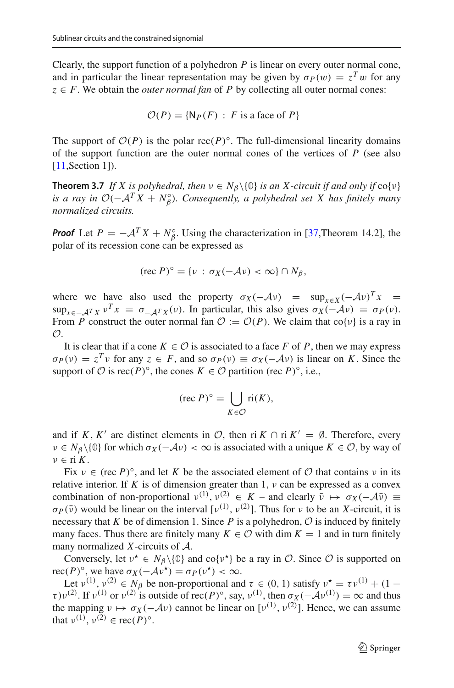Clearly, the support function of a polyhedron *P* is linear on every outer normal cone, and in particular the linear representation may be given by  $\sigma_P(w) = z^T w$  for any  $z \in F$ . We obtain the *outer normal fan* of *P* by collecting all outer normal cones:

<span id="page-12-0"></span>
$$
\mathcal{O}(P) = \{ \mathsf{N}_P(F) : F \text{ is a face of } P \}
$$

The support of  $O(P)$  is the polar rec(*P*)<sup>°</sup>. The full-dimensional linearity domains of the support function are the outer normal cones of the vertices of *P* (see also [\[11](#page-33-21), Section 1]).

**Theorem 3.7** *If X is polyhedral, then*  $v \in N_B \setminus \{0\}$  *is an X-circuit if and only if*  $co\{v\}$ *is a ray in*  $O(-A^TX + N_\beta^\circ)$ *. Consequently, a polyhedral set X has finitely many normalized circuits.*

*Proof* Let  $P = -A^T X + N_\beta^\circ$ . Using the characterization in [\[37](#page-34-16),Theorem 14.2], the polar of its recession cone can be expressed as

$$
(\text{rec } P)^\circ = \{v \,:\, \sigma_X(-\mathcal{A}v) < \infty\} \cap N_\beta,
$$

where we have also used the property  $\sigma_X(-\mathcal{A}v)$  = sup<sub> $x \in X$ </sub> $(-\mathcal{A}v)^T x$  =  $\sup_{x \in -A} f_X v^T x = \sigma_{-A} f_X(v)$ . In particular, this also gives  $\sigma_X(-\mathcal{A}v) = \sigma_P(v)$ . From *P* construct the outer normal fan  $O := O(P)$ . We claim that co{v} is a ray in *O*.

It is clear that if a cone  $K \in \mathcal{O}$  is associated to a face *F* of *P*, then we may express  $\sigma_P(v) = z^T v$  for any  $z \in F$ , and so  $\sigma_P(v) \equiv \sigma_X(-Av)$  is linear on *K*. Since the support of  $\mathcal O$  is rec( $P$ )°, the cones  $K \in \mathcal O$  partition (rec  $P$ )°, i.e.,

$$
(\text{rec } P)^\circ = \bigcup_{K \in \mathcal{O}} \text{ri}(K),
$$

and if *K*, *K'* are distinct elements in *O*, then ri *K* ∩ ri  $K' = \emptyset$ . Therefore, every  $v \in N_\beta \setminus \{0\}$  for which  $\sigma_X(-\mathcal{A}v) < \infty$  is associated with a unique  $K \in \mathcal{O}$ , by way of ν ∈ ri *K*.

Fix  $v \in (rec P)^\circ$ , and let K be the associated element of  $\mathcal O$  that contains  $v$  in its relative interior. If K is of dimension greater than 1,  $\nu$  can be expressed as a convex combination of non-proportional  $v^{(1)}$ ,  $v^{(2)} \in K$  – and clearly  $\bar{v} \mapsto \sigma_X(-A\bar{v}) \equiv$  $\sigma_P(\bar{\nu})$  would be linear on the interval  $[v^{(1)}, v^{(2)}]$ . Thus for  $\nu$  to be an *X*-circuit, it is necessary that *K* be of dimension 1. Since *P* is a polyhedron,  $\mathcal O$  is induced by finitely many faces. Thus there are finitely many  $K \in \mathcal{O}$  with dim  $K = 1$  and in turn finitely many normalized *X*-circuits of *A*.

Conversely, let  $v^* \in N_\beta \setminus \{0\}$  and  $\text{co}\{v^*\}\$  be a ray in  $\mathcal{O}$ . Since  $\mathcal O$  is supported on rec(*P*)<sup>°</sup>, we have  $\sigma_X(-\mathcal{A}v^{\star}) = \sigma_P(v^{\star}) < \infty$ .

Let  $v^{(1)}$ ,  $v^{(2)} \in N_\beta$  be non-proportional and  $\tau \in (0, 1)$  satisfy  $v^* = \tau v^{(1)} + (1 - \tau_\beta)$  $\tau$ ) $v^{(2)}$ . If  $v^{(1)}$  or  $v^{(2)}$  is outside of rec(*P*)°, say,  $v^{(1)}$ , then  $\sigma_X(-\mathcal{A}v^{(1)}) = \infty$  and thus the mapping  $v \mapsto \sigma_X(-\mathcal{A}v)$  cannot be linear on  $[v^{(1)}, v^{(2)}]$ . Hence, we can assume that  $v^{(1)}$ ,  $v^{(2)} \in \text{rec}(P)^\circ$ .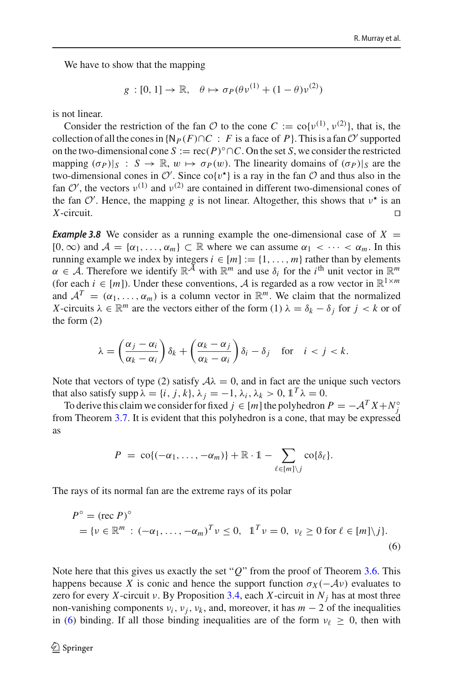We have to show that the mapping

$$
g:[0,1]\to\mathbb{R},\quad\theta\mapsto\sigma_P(\theta\nu^{(1)}+(1-\theta)\nu^{(2)})
$$

is not linear.

Consider the restriction of the fan  $\mathcal{O}$  to the cone  $C := \text{co}\{v^{(1)}, v^{(2)}\}$ , that is, the collection of all the cones in  $\{N_P(F) \cap C : F$  is a face of *P* $\}$ . This is a fan  $O'$  supported on the two-dimensional cone  $S := \text{rec}(P)^\circ \cap C$ . On the set *S*, we consider the restricted mapping  $(\sigma_P)|_S : S \to \mathbb{R}, w \mapsto \sigma_P(w)$ . The linearity domains of  $(\sigma_P)|_S$  are the two-dimensional cones in  $\mathcal{O}'$ . Since  $\text{co}\lbrace v^* \rbrace$  is a ray in the fan  $\mathcal{O}$  and thus also in the fan  $O'$ , the vectors  $v^{(1)}$  and  $v^{(2)}$  are contained in different two-dimensional cones of the fan  $\mathcal{O}'$ . Hence, the mapping *g* is not linear. Altogether, this shows that  $v^*$  is an *X*-circuit. □

<span id="page-13-0"></span>**Example 3.8** We consider as a running example the one-dimensional case of  $X =$  $[0, \infty)$  and  $\mathcal{A} = {\alpha_1, \ldots, \alpha_m} \subset \mathbb{R}$  where we can assume  $\alpha_1 < \cdots < \alpha_m$ . In this running example we index by integers  $i \in [m] := \{1, \ldots, m\}$  rather than by elements  $\alpha \in \mathcal{A}$ . Therefore we identify  $\mathbb{R}^{\mathcal{A}}$  with  $\mathbb{R}^m$  and use  $\delta_i$  for the *i*<sup>th</sup> unit vector in  $\mathbb{R}^m$ (for each  $i \in [m]$ ). Under these conventions, A is regarded as a row vector in  $\mathbb{R}^{1 \times m}$ and  $A^T = (\alpha_1, \ldots, \alpha_m)$  is a column vector in  $\mathbb{R}^m$ . We claim that the normalized *X*-circuits  $\lambda \in \mathbb{R}^m$  are the vectors either of the form (1)  $\lambda = \delta_k - \delta_j$  for  $j < k$  or of the form (2)

$$
\lambda = \left(\frac{\alpha_j - \alpha_i}{\alpha_k - \alpha_i}\right)\delta_k + \left(\frac{\alpha_k - \alpha_j}{\alpha_k - \alpha_i}\right)\delta_i - \delta_j \quad \text{for} \quad i < j < k.
$$

Note that vectors of type (2) satisfy  $A\lambda = 0$ , and in fact are the unique such vectors that also satisfy supp  $\lambda = \{i, j, k\}, \lambda_j = -1, \lambda_i, \lambda_k > 0, \mathbb{1}^T \lambda = 0.$ 

To derive this claim we consider for fixed  $j \in [m]$  the polyhedron  $P = -A^T X + N^{\circ}_{j}$ from Theorem [3.7.](#page-12-0) It is evident that this polyhedron is a cone, that may be expressed as

$$
P = \operatorname{co}\{(-\alpha_1,\ldots,-\alpha_m)\} + \mathbb{R} \cdot 1 - \sum_{\ell \in [m] \setminus j} \operatorname{co}\{\delta_\ell\}.
$$

The rays of its normal fan are the extreme rays of its polar

<span id="page-13-1"></span>
$$
P^{\circ} = (\text{rec } P)^{\circ}
$$
  
= { $\nu \in \mathbb{R}^m$  :  $(-\alpha_1, ..., -\alpha_m)^T \nu \le 0$ ,  $\mathbb{1}^T \nu = 0$ ,  $\nu_{\ell} \ge 0$  for  $\ell \in [m] \setminus j$ }. (6)

Note here that this gives us exactly the set "*Q*" from the proof of Theorem [3.6.](#page-10-0) This happens because *X* is conic and hence the support function  $\sigma_X(-\mathcal{A}v)$  evaluates to zero for every *X*-circuit  $\nu$ . By Proposition [3.4,](#page-9-0) each *X*-circuit in  $N_i$  has at most three non-vanishing components  $v_i$ ,  $v_j$ ,  $v_k$ , and, moreover, it has  $m-2$  of the inequalities in [\(6\)](#page-13-1) binding. If all those binding inequalities are of the form  $v_{\ell} \geq 0$ , then with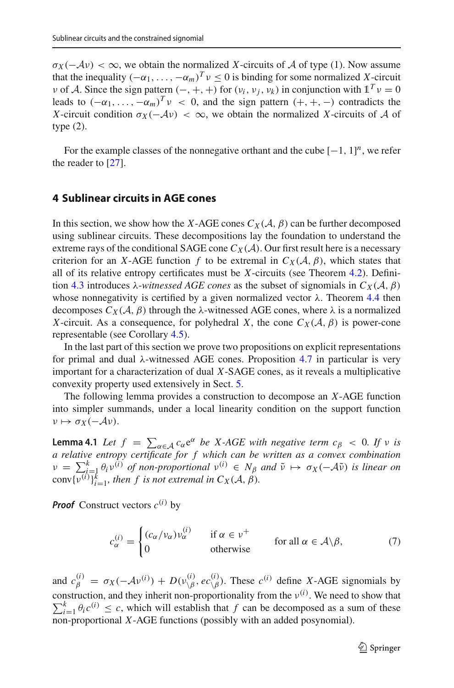$\sigma_X(-\mathcal{A}v) < \infty$ , we obtain the normalized *X*-circuits of *A* of type (1). Now assume that the inequality  $(-\alpha_1,\ldots,-\alpha_m)^T v \leq 0$  is binding for some normalized *X*-circuit *v* of *A*. Since the sign pattern  $(-, +, +)$  for  $(v_i, v_j, v_k)$  in conjunction with  $1^T v = 0$ leads to  $(-\alpha_1,\ldots,-\alpha_m)^T v < 0$ , and the sign pattern  $(+, +, -)$  contradicts the *X*-circuit condition  $\sigma_X(-\mathcal{A}v) < \infty$ , we obtain the normalized *X*-circuits of *A* of type (2).

For the example classes of the nonnegative orthant and the cube  $[-1, 1]^n$ , we refer the reader to [\[27](#page-34-19)].

## <span id="page-14-0"></span>**4 Sublinear circuits in AGE cones**

In this section, we show how the *X*-AGE cones  $C_X(\mathcal{A}, \beta)$  can be further decomposed using sublinear circuits. These decompositions lay the foundation to understand the extreme rays of the conditional SAGE cone  $C_X(\mathcal{A})$ . Our first result here is a necessary criterion for an *X*-AGE function *f* to be extremal in  $C_X(\mathcal{A}, \beta)$ , which states that all of its relative entropy certificates must be *X*-circuits (see Theorem [4.2\)](#page-15-0). Defini-tion [4.3](#page-15-1) introduces  $\lambda$ -*witnessed AGE cones* as the subset of signomials in  $C_X(\mathcal{A}, \beta)$ whose nonnegativity is certified by a given normalized vector  $\lambda$ . Theorem [4.4](#page-16-0) then decomposes  $C_X(\mathcal{A}, \beta)$  through the  $\lambda$ -witnessed AGE cones, where  $\lambda$  is a normalized *X*-circuit. As a consequence, for polyhedral *X*, the cone  $C_X(\mathcal{A}, \beta)$  is power-cone representable (see Corollary [4.5\)](#page-17-0).

In the last part of this section we prove two propositions on explicit representations for primal and dual  $\lambda$ -witnessed AGE cones. Proposition [4.7](#page-18-0) in particular is very important for a characterization of dual *X*-SAGE cones, as it reveals a multiplicative convexity property used extensively in Sect. [5.](#page-19-0)

<span id="page-14-2"></span>The following lemma provides a construction to decompose an *X*-AGE function into simpler summands, under a local linearity condition on the support function  $v \mapsto \sigma_X(-\mathcal{A}v).$ 

**Lemma 4.1** *Let*  $f = \sum_{\alpha \in A} c_{\alpha} e^{\alpha}$  *be X*-*AGE* with negative term  $c_{\beta} < 0$ . If v is a relative entropy certificate for f which can be written as a convex combination  $\nu = \sum_{i=1}^{k} \theta_i v^{(i)}$  of non-proportional  $v^{(i)} \in N_\beta$  and  $\tilde{\nu} \mapsto \sigma_X(-\mathcal{A}\tilde{\nu})$  is linear on  $\text{conv}\{v^{(i)}\}_{i=1}^k$ , then f is not extremal in  $C_X(\mathcal{A}, \beta)$ .

*Proof* Construct vectors  $c^{(i)}$  by

<span id="page-14-1"></span> $c_{\alpha}^{(i)} =$  $\int (c_{\alpha}/v_{\alpha})v_{\alpha}^{(i)}$  if  $\alpha \in \nu^{+}$  $0$  otherwise for all *α* ∈ *A*\*β*, (7)

and  $c_{\beta}^{(i)} = \sigma_X(-A v^{(i)}) + D(v_{\setminus\beta}^{(i)}, e c_{\setminus\beta}^{(i)})$ . These  $c^{(i)}$  define *X*-AGE signomials by construction, and they inherit non-proportionality from the  $v^{(i)}$ . We need to show that  $\sum_{i=1}^{k} \theta_i c^{(i)} \leq c$ , which will establish that *f* can be decomposed as a sum of these non-proportional *X*-AGE functions (possibly with an added posynomial).

2 Springer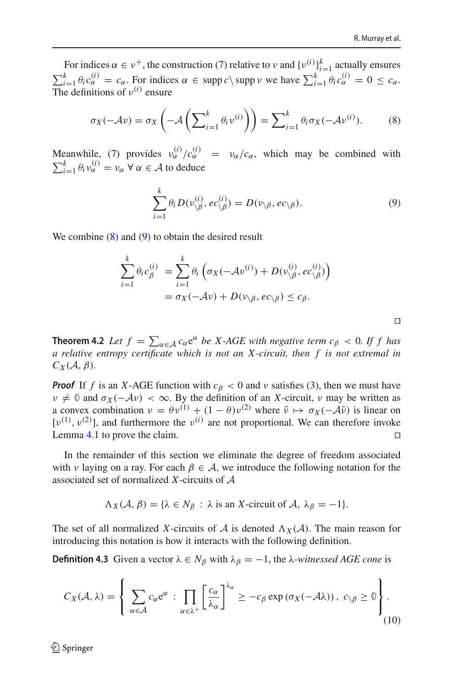<span id="page-15-1"></span> $\Box$ 

For indices  $\alpha \in \nu^+$ , the construction [\(7\)](#page-14-1) relative to  $\nu$  and  $\{\nu^{(i)}\}_{i=1}^k$  actually ensures  $\sum_{i=1}^{k} \theta_i c_{\alpha}^{(i)} = c_{\alpha}$ . For indices  $\alpha \in \text{supp } c \setminus \text{supp } v$  we have  $\sum_{i=1}^{k} \theta_i c_{\alpha}^{(i)} = 0 \le c_{\alpha}$ . The definitions of  $v^{(i)}$  ensure

<span id="page-15-2"></span>
$$
\sigma_X(-\mathcal{A}\nu) = \sigma_X\left(-\mathcal{A}\left(\sum_{i=1}^k \theta_i \nu^{(i)}\right)\right) = \sum_{i=1}^k \theta_i \sigma_X(-\mathcal{A}\nu^{(i)}).
$$
 (8)

Meanwhile, [\(7\)](#page-14-1) provides  $v_{\alpha}^{(i)}/c_{\alpha}^{(i)} = v_{\alpha}/c_{\alpha}$ , which may be combined with  $\sum_{i=1}^{k} \theta_i v_{\alpha}^{(i)} = v_{\alpha} \ \forall \ \alpha \in \mathcal{A}$  to deduce

<span id="page-15-3"></span>
$$
\sum_{i=1}^{k} \theta_i D(\nu_{\setminus\beta}^{(i)}, ec_{\setminus\beta}^{(i)}) = D(\nu_{\setminus\beta}, ec_{\setminus\beta}).
$$
\n(9)

We combine  $(8)$  and  $(9)$  to obtain the desired result

$$
\sum_{i=1}^{k} \theta_i c_{\beta}^{(i)} = \sum_{i=1}^{k} \theta_i \left( \sigma_X(-\mathcal{A}v^{(i)}) + D(v_{\setminus\beta}^{(i)}, ec_{\setminus\beta}^{(i)}) \right)
$$
  
=  $\sigma_X(-\mathcal{A}v) + D(v_{\setminus\beta}, ec_{\setminus\beta}) \leq c_{\beta}.$ 

<span id="page-15-0"></span>**Theorem 4.2** *Let*  $f = \sum_{\alpha \in A} c_{\alpha} e^{\alpha}$  *be X-AGE with negative term c<sub>β</sub> < 0. If f has a relative entropy certificate which is not an X -circuit, then f is not extremal in*  $C_X(\mathcal{A}, \beta)$ .

*Proof* If *f* is an *X*-AGE function with  $c<sub>\beta</sub> < 0$  and v satisfies [\(3\)](#page-7-1), then we must have  $v \neq 0$  and  $\sigma_X(-\mathcal{A}v) < \infty$ . By the definition of an *X*-circuit, v may be written as a convex combination  $v = \theta v^{(1)} + (1 - \theta) v^{(2)}$  where  $\bar{v} \mapsto \sigma_X(-\mathcal{A}\bar{v})$  is linear on [ $v^{(1)}$ ,  $v^{(2)}$ ], and furthermore the  $v^{(i)}$  are not proportional. We can therefore invoke Lemma [4.1](#page-14-2) to prove the claim.

In the remainder of this section we eliminate the degree of freedom associated with v laying on a ray. For each  $\beta \in A$ , we introduce the following notation for the associated set of normalized *X*-circuits of *A*

$$
\Lambda_X(\mathcal{A}, \beta) = \{ \lambda \in N_\beta : \lambda \text{ is an } X \text{-circuit of } \mathcal{A}, \lambda_\beta = -1 \}.
$$

The set of all normalized X-circuits of A is denoted  $\Lambda_X(\mathcal{A})$ . The main reason for introducing this notation is how it interacts with the following definition.

**Definition 4.3** Given a vector  $\lambda \in N_\beta$  with  $\lambda_\beta = -1$ , the  $\lambda$ -*witnessed AGE cone* is

<span id="page-15-4"></span>
$$
C_X(\mathcal{A}, \lambda) = \left\{ \sum_{\alpha \in \mathcal{A}} c_{\alpha} e^{\alpha} : \prod_{\alpha \in \lambda^+} \left[ \frac{c_{\alpha}}{\lambda_{\alpha}} \right]^{\lambda_{\alpha}} \ge -c_{\beta} \exp\left(\sigma_X(-\mathcal{A}\lambda)\right), \ c_{\setminus \beta} \ge 0 \right\}.
$$
\n(10)

 $\textcircled{2}$  Springer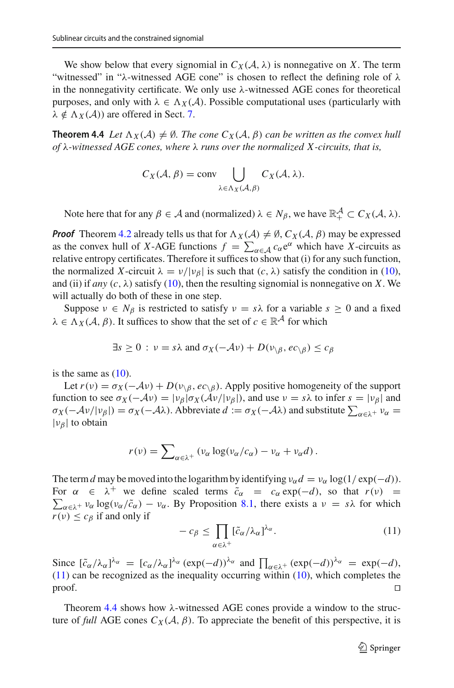We show below that every signomial in  $C_X(\mathcal{A}, \lambda)$  is nonnegative on X. The term "witnessed" in " $\lambda$ -witnessed AGE cone" is chosen to reflect the defining role of  $\lambda$ in the nonnegativity certificate. We only use  $\lambda$ -witnessed AGE cones for theoretical purposes, and only with  $\lambda \in \Lambda_X(\mathcal{A})$ . Possible computational uses (particularly with  $\lambda \notin \Lambda_X(\mathcal{A})$  are offered in Sect. [7.](#page-30-0)

**Theorem 4.4** *Let*  $\Lambda_X(\mathcal{A}) \neq \emptyset$ *. The cone*  $C_X(\mathcal{A}, \beta)$  *can be written as the convex hull of* λ*-witnessed AGE cones, where* λ *runs over the normalized X -circuits, that is,*

<span id="page-16-0"></span>
$$
C_X(\mathcal{A}, \beta) = \text{conv} \bigcup_{\lambda \in \Lambda_X(\mathcal{A}, \beta)} C_X(\mathcal{A}, \lambda).
$$

Note here that for any  $\beta \in \mathcal{A}$  and (normalized)  $\lambda \in N_{\beta}$ , we have  $\mathbb{R}^{\mathcal{A}}_+ \subset C_X(\mathcal{A}, \lambda)$ .

*Proof* Theorem [4.2](#page-15-0) already tells us that for  $\Lambda_X(\mathcal{A}) \neq \emptyset$ ,  $C_X(\mathcal{A}, \beta)$  may be expressed as the convex hull of *X*-AGE functions  $f = \sum_{\alpha \in A} c_{\alpha} e^{\alpha}$  which have *X*-circuits as relative entropy certificates. Therefore it suffices to show that (i) for any such function, the normalized *X*-circuit  $\lambda = v/|v_{\beta}|$  is such that  $(c, \lambda)$  satisfy the condition in [\(10\)](#page-15-4), and (ii) if *any*  $(c, \lambda)$  satisfy [\(10\)](#page-15-4), then the resulting signomial is nonnegative on *X*. We will actually do both of these in one step.

Suppose  $v \in N_\beta$  is restricted to satisfy  $v = s\lambda$  for a variable  $s \ge 0$  and a fixed  $\lambda \in \Lambda_X(\mathcal{A}, \beta)$ . It suffices to show that the set of  $c \in \mathbb{R}^{\mathcal{A}}$  for which

$$
\exists s \ge 0 : \nu = s\lambda \text{ and } \sigma_X(-\mathcal{A}\nu) + D(\nu_{\setminus\beta}, ec_{\setminus\beta}) \le c_{\beta}
$$

is the same as  $(10)$ .

Let  $r(v) = \sigma_X(-Av) + D(v_{\beta}, ec_{\beta})$ . Apply positive homogeneity of the support function to see  $\sigma_X(-\mathcal{A}\nu) = |\nu_\beta|\sigma_X(\mathcal{A}\nu/|\nu_\beta|)$ , and use  $\nu = s\lambda$  to infer  $s = |\nu_\beta|$  and  $\sigma_X(-\lambda \nu/|\nu_\beta|) = \sigma_X(-\lambda \lambda)$ . Abbreviate  $d := \sigma_X(-\lambda \lambda)$  and substitute  $\sum_{\alpha \in \lambda^+} \nu_\alpha =$  $|v_\beta|$  to obtain

$$
r(v) = \sum_{\alpha \in \lambda^+} (v_\alpha \log(v_\alpha/c_\alpha) - v_\alpha + v_\alpha d).
$$

The term *d* may be moved into the logarithm by identifying  $v_\alpha d = v_\alpha \log(1/\exp(-d))$ . For  $\alpha \in \lambda^+$  we define scaled terms  $\tilde{c}_\alpha = c_\alpha \exp(-d)$ , so that  $r(\nu) =$  $\sum_{\alpha \in \lambda^+} v_{\alpha} \log(v_{\alpha}/\tilde{c}_{\alpha}) - v_{\alpha}$ . By Proposition [8.1,](#page-31-0) there exists a  $v = s\lambda$  for which  $r(v) \leq c_{\beta}$  if and only if

<span id="page-16-1"></span>
$$
-c_{\beta} \le \prod_{\alpha \in \lambda^{+}} [\tilde{c}_{\alpha}/\lambda_{\alpha}]^{\lambda_{\alpha}}.
$$
 (11)

Since  $[\tilde{c}_{\alpha}/\lambda_{\alpha}]^{\lambda_{\alpha}} = [c_{\alpha}/\lambda_{\alpha}]^{\lambda_{\alpha}} (\exp(-d))^{\lambda_{\alpha}}$  and  $\prod_{\alpha \in \lambda^{+}} (\exp(-d))^{\lambda_{\alpha}} = \exp(-d)$ ,  $(11)$  can be recognized as the inequality occurring within  $(10)$ , which completes the  $\Box$ 

Theorem [4.4](#page-16-0) shows how  $\lambda$ -witnessed AGE cones provide a window to the structure of *full* AGE cones  $C_X(\mathcal{A}, \beta)$ . To appreciate the benefit of this perspective, it is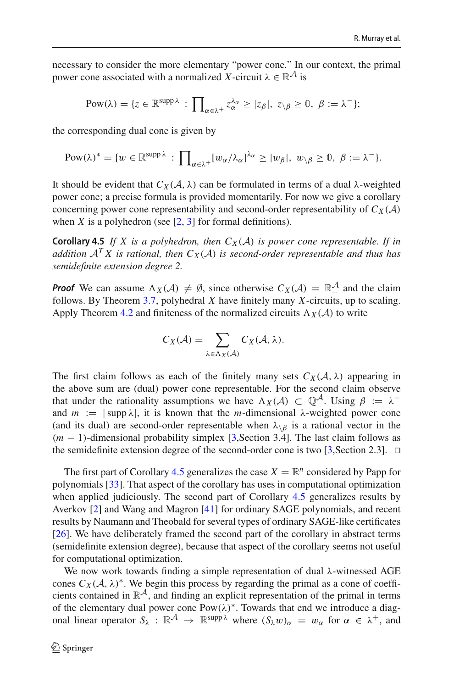necessary to consider the more elementary "power cone." In our context, the primal power cone associated with a normalized *X*-circuit  $\lambda \in \mathbb{R}^{\mathcal{A}}$  is

$$
Pow(\lambda) = \{ z \in \mathbb{R}^{\text{supp }\lambda} : \prod_{\alpha \in \lambda^+} z_\alpha^{\lambda_\alpha} \geq |z_\beta|, \ z_{\setminus \beta} \geq 0, \ \beta := \lambda^- \};
$$

the corresponding dual cone is given by

$$
Pow(\lambda)^* = \{w \in \mathbb{R}^{\text{supp }\lambda} : \prod_{\alpha \in \lambda^+} [w_{\alpha}/\lambda_{\alpha}]^{\lambda_{\alpha}} \ge |w_{\beta}|, w_{\backslash \beta} \ge 0, \ \beta := \lambda^-\}.
$$

It should be evident that  $C_X(\mathcal{A}, \lambda)$  can be formulated in terms of a dual  $\lambda$ -weighted power cone; a precise formula is provided momentarily. For now we give a corollary concerning power cone representability and second-order representability of  $C_X(\mathcal{A})$ when *X* is a polyhedron (see  $[2, 3]$  $[2, 3]$  $[2, 3]$  for formal definitions).

**Corollary 4.5** *If X is a polyhedron, then*  $C_X(\mathcal{A})$  *is power cone representable. If in addition*  $A^T X$  *is rational, then*  $C_X(A)$  *is second-order representable and thus has semidefinite extension degree 2.*

*Proof* We can assume  $\Lambda_X(\mathcal{A}) \neq \emptyset$ , since otherwise  $C_X(\mathcal{A}) = \mathbb{R}_+^{\mathcal{A}}$  and the claim follows. By Theorem [3.7,](#page-12-0) polyhedral *X* have finitely many *X*-circuits, up to scaling. Apply Theorem [4.2](#page-15-0) and finiteness of the normalized circuits  $\Lambda_X(\mathcal{A})$  to write

<span id="page-17-0"></span>
$$
C_X(\mathcal{A}) = \sum_{\lambda \in \Lambda_X(\mathcal{A})} C_X(\mathcal{A}, \lambda).
$$

The first claim follows as each of the finitely many sets  $C_X(\mathcal{A}, \lambda)$  appearing in the above sum are (dual) power cone representable. For the second claim observe that under the rationality assumptions we have  $\Lambda_X(\mathcal{A}) \subset \mathbb{Q}^{\mathcal{A}}$ . Using  $\beta := \lambda^{-1}$ and  $m := |\sup \lambda|$ , it is known that the *m*-dimensional  $\lambda$ -weighted power cone (and its dual) are second-order representable when  $\lambda_{\beta}$  is a rational vector in the (*m* − 1)-dimensional probability simplex [\[3](#page-33-22),Section 3.4]. The last claim follows as the semidefinite extension degree of the second-order cone is two [\[3](#page-33-22), Section 2.3].  $\Box$ 

The first part of Corollary [4.5](#page-17-0) generalizes the case  $X = \mathbb{R}^n$  considered by Papp for polynomials [\[33](#page-34-11)]. That aspect of the corollary has uses in computational optimization when applied judiciously. The second part of Corollary [4.5](#page-17-0) generalizes results by Averkov [\[2](#page-33-10)] and Wang and Magron [\[41\]](#page-34-12) for ordinary SAGE polynomials, and recent results by Naumann and Theobald for several types of ordinary SAGE-like certificates [\[26](#page-34-10)]. We have deliberately framed the second part of the corollary in abstract terms (semidefinite extension degree), because that aspect of the corollary seems not useful for computational optimization.

We now work towards finding a simple representation of dual  $\lambda$ -witnessed AGE cones  $C_X(\mathcal{A}, \lambda)^*$ . We begin this process by regarding the primal as a cone of coefficients contained in R*A*, and finding an explicit representation of the primal in terms of the elementary dual power cone  $Pow(\lambda)^*$ . Towards that end we introduce a diagonal linear operator  $S_\lambda$ :  $\mathbb{R}^{\mathcal{A}} \to \mathbb{R}^{\text{supp }\lambda}$  where  $(S_\lambda w)_{\alpha} = w_{\alpha}$  for  $\alpha \in \lambda^+$ , and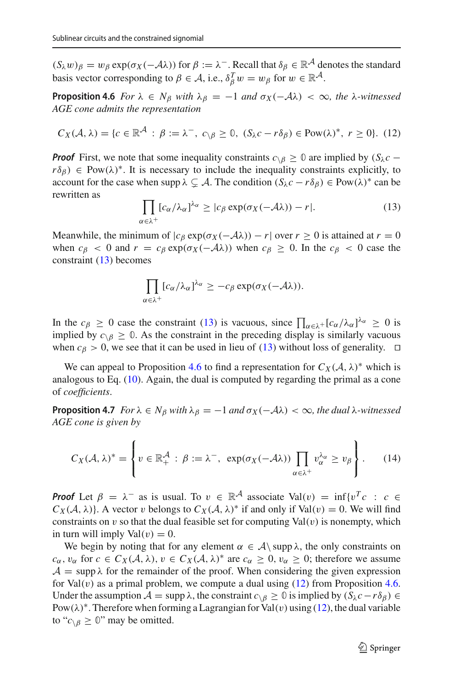$(S_\lambda w)_\beta = w_\beta \exp(\sigma_X(-\lambda \lambda))$  for  $\beta := \lambda^-$ . Recall that  $\delta_\beta \in \mathbb{R}^{\mathcal{A}}$  denotes the standard basis vector corresponding to  $\beta \in A$ , i.e.,  $\delta_{\beta}^{T} w = w_{\beta}$  for  $w \in \mathbb{R}^{\mathcal{A}}$ .

**Proposition 4.6** *For*  $\lambda \in N_B$  *with*  $\lambda_B = -1$  *and*  $\sigma_X(-A\lambda) < \infty$ *, the*  $\lambda$ *-witnessed AGE cone admits the representation*

<span id="page-18-3"></span>
$$
C_X(\mathcal{A}, \lambda) = \{c \in \mathbb{R}^{\mathcal{A}} : \beta := \lambda^-, \ c_{\setminus \beta} \ge 0, \ (S_{\lambda}c - r\delta_{\beta}) \in \text{Pow}(\lambda)^*, \ r \ge 0\}. \tag{12}
$$

*Proof* First, we note that some inequality constraints  $c_{\n\setminus\beta} \geq 0$  are implied by ( $S_\lambda c$  −  $r\delta_{\beta}$ )  $\in$  Pow( $\lambda$ )<sup>\*</sup>. It is necessary to include the inequality constraints explicitly, to account for the case when supp  $\lambda \subsetneq A$ . The condition  $(S_{\lambda}c - r\delta_{\beta}) \in Pow(\lambda)^*$  can be rewritten as

<span id="page-18-2"></span><span id="page-18-1"></span>
$$
\prod_{\alpha \in \lambda^+} [c_{\alpha}/\lambda_{\alpha}]^{\lambda_{\alpha}} \ge |c_{\beta} \exp(\sigma_X(-\mathcal{A}\lambda)) - r|.
$$
 (13)

Meanwhile, the minimum of  $|c_\beta \exp(\sigma_X(-\lambda \lambda)) - r|$  over  $r \ge 0$  is attained at  $r = 0$ when  $c_{\beta} < 0$  and  $r = c_{\beta} \exp(\sigma_X(-\lambda \lambda))$  when  $c_{\beta} \ge 0$ . In the  $c_{\beta} < 0$  case the constraint [\(13\)](#page-18-1) becomes

$$
\prod_{\alpha \in \lambda^+} [c_{\alpha}/\lambda_{\alpha}]^{\lambda_{\alpha}} \geq -c_{\beta} \exp(\sigma_X(-\mathcal{A}\lambda)).
$$

In the  $c_\beta \ge 0$  case the constraint [\(13\)](#page-18-1) is vacuous, since  $\prod_{\alpha \in \lambda^+} [c_\alpha/\lambda_\alpha]^{\lambda_\alpha} \ge 0$  is implied by  $c_{\setminus\beta} \geq 0$ . As the constraint in the preceding display is similarly vacuous when  $c_{\beta} > 0$ , we see that it can be used in lieu of [\(13\)](#page-18-1) without loss of generality.  $\Box$ 

<span id="page-18-0"></span>We can appeal to Proposition [4.6](#page-18-2) to find a representation for  $C_X(\mathcal{A}, \lambda)^*$  which is analogous to Eq. [\(10\)](#page-15-4). Again, the dual is computed by regarding the primal as a cone of *coefficients*.

**Proposition 4.7** *For*  $\lambda \in N_\beta$  *with*  $\lambda_\beta = -1$  *and*  $\sigma_X(-\lambda_\alpha) < \infty$ *, the dual*  $\lambda$ *-witnessed AGE cone is given by*

$$
C_X(\mathcal{A}, \lambda)^* = \left\{ v \in \mathbb{R}_+^{\mathcal{A}} : \beta := \lambda^-, \exp(\sigma_X(-\mathcal{A}\lambda)) \prod_{\alpha \in \lambda^+} v_\alpha^{\lambda_\alpha} \ge v_\beta \right\}.
$$
 (14)

*Proof* Let  $\beta = \lambda^-$  as is usual. To  $v \in \mathbb{R}^A$  associate Val(v) = inf{v<sup>T</sup>c : c  $\in$  $C_X(\mathcal{A}, \lambda)$ . A vector v belongs to  $C_X(\mathcal{A}, \lambda)^*$  if and only if Val(v) = 0. We will find constraints on  $v$  so that the dual feasible set for computing  $Val(v)$  is nonempty, which in turn will imply  $Val(v) = 0$ .

We begin by noting that for any element  $\alpha \in \mathcal{A} \setminus \text{supp } \lambda$ , the only constraints on  $c_{\alpha}$ ,  $v_{\alpha}$  for  $c \in C_X(\mathcal{A}, \lambda)$ ,  $v \in C_X(\mathcal{A}, \lambda)^*$  are  $c_{\alpha} \geq 0$ ,  $v_{\alpha} \geq 0$ ; therefore we assume  $A = \text{supp }\lambda$  for the remainder of the proof. When considering the given expression for Val $(v)$  as a primal problem, we compute a dual using  $(12)$  from Proposition [4.6.](#page-18-2) Under the assumption  $A = \text{supp }\lambda$ , the constraint  $c_{\setminus\beta} \geq 0$  is implied by  $(S_{\lambda}c - r\delta_{\beta}) \in$ Pow( $\lambda$ )<sup>∗</sup>. Therefore when forming a Lagrangian for Val(v) using [\(12\)](#page-18-3), the dual variable to " $c_{\delta} \geq 0$ " may be omitted.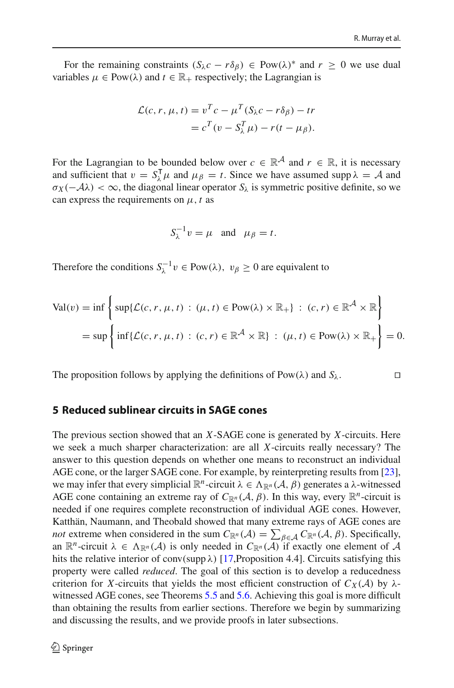For the remaining constraints  $(S_\lambda c - r\delta_\beta) \in Pow(\lambda)^*$  and  $r \geq 0$  we use dual variables  $\mu \in \text{Pow}(\lambda)$  and  $t \in \mathbb{R}_+$  respectively; the Lagrangian is

$$
\mathcal{L}(c, r, \mu, t) = v^T c - \mu^T (S_{\lambda} c - r \delta_{\beta}) - tr
$$
  
=  $c^T (v - S_{\lambda}^T \mu) - r (t - \mu_{\beta}).$ 

For the Lagrangian to be bounded below over  $c \in \mathbb{R}^{\mathcal{A}}$  and  $r \in \mathbb{R}$ , it is necessary and sufficient that  $v = S_{\lambda}^{\mathsf{T}} \mu$  and  $\mu_{\beta} = t$ . Since we have assumed supp  $\lambda = A$  and  $\sigma_X(-\mathcal{A}\lambda) < \infty$ , the diagonal linear operator  $S_\lambda$  is symmetric positive definite, so we can express the requirements on  $\mu$ , *t* as

$$
S_{\lambda}^{-1}v = \mu \quad \text{and} \quad \mu_{\beta} = t.
$$

Therefore the conditions  $S_{\lambda}^{-1} v \in Pow(\lambda), v_{\beta} \ge 0$  are equivalent to

$$
\text{Val}(v) = \inf \left\{ \sup \{ \mathcal{L}(c, r, \mu, t) : (\mu, t) \in \text{Pow}(\lambda) \times \mathbb{R}_+ \} : (c, r) \in \mathbb{R}^{\mathcal{A}} \times \mathbb{R} \right\}
$$
  
= 
$$
\sup \left\{ \inf \{ \mathcal{L}(c, r, \mu, t) : (c, r) \in \mathbb{R}^{\mathcal{A}} \times \mathbb{R} \} : (\mu, t) \in \text{Pow}(\lambda) \times \mathbb{R}_+ \right\} = 0.
$$

The proposition follows by applying the definitions of Pow( $\lambda$ ) and  $S_\lambda$ .

#### <span id="page-19-0"></span>**5 Reduced sublinear circuits in SAGE cones**

The previous section showed that an *X*-SAGE cone is generated by *X*-circuits. Here we seek a much sharper characterization: are all *X*-circuits really necessary? The answer to this question depends on whether one means to reconstruct an individual AGE cone, or the larger SAGE cone. For example, by reinterpreting results from [\[23](#page-33-7)], we may infer that every simplicial  $\mathbb{R}^n$ -circuit  $\lambda \in \Lambda_{\mathbb{R}^n}(\mathcal{A}, \beta)$  generates a  $\lambda$ -witnessed AGE cone containing an extreme ray of  $C_{\mathbb{R}^n}(\mathcal{A}, \beta)$ . In this way, every  $\mathbb{R}^n$ -circuit is needed if one requires complete reconstruction of individual AGE cones. However, Katthän, Naumann, and Theobald showed that many extreme rays of AGE cones are *not* extreme when considered in the sum  $C_{\mathbb{R}^n}(\mathcal{A}) = \sum_{\beta \in \mathcal{A}} C_{\mathbb{R}^n}(\mathcal{A}, \beta)$ . Specifically, an  $\mathbb{R}^n$ -circuit  $\lambda \in \Lambda_{\mathbb{R}^n}(\mathcal{A})$  is only needed in  $C_{\mathbb{R}^n}(\mathcal{A})$  if exactly one element of  $\mathcal{A}$ hits the relative interior of conv(supp  $\lambda$ ) [\[17](#page-33-9), Proposition 4.4]. Circuits satisfying this property were called *reduced*. The goal of this section is to develop a reducedness criterion for *X*-circuits that yields the most efficient construction of  $C_X(\mathcal{A})$  by  $\lambda$ witnessed AGE cones, see Theorems [5.5](#page-21-0) and [5.6.](#page-21-1) Achieving this goal is more difficult than obtaining the results from earlier sections. Therefore we begin by summarizing and discussing the results, and we provide proofs in later subsections.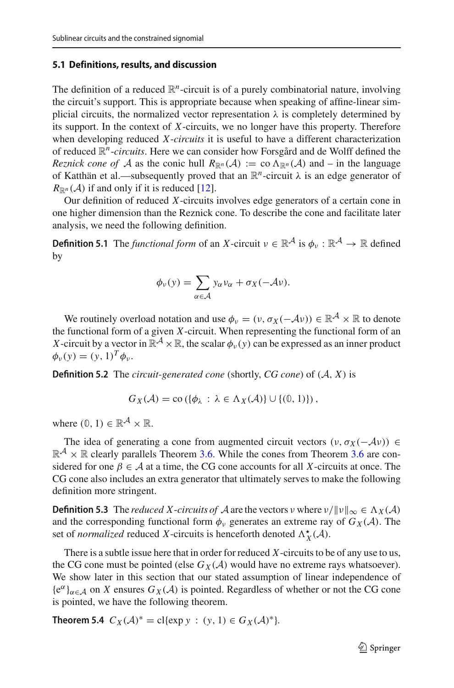## **5.1 Definitions, results, and discussion**

The definition of a reduced  $\mathbb{R}^n$ -circuit is of a purely combinatorial nature, involving the circuit's support. This is appropriate because when speaking of affine-linear simplicial circuits, the normalized vector representation  $\lambda$  is completely determined by its support. In the context of *X*-circuits, we no longer have this property. Therefore when developing reduced *X*-*circuits* it is useful to have a different characterization of reduced R*n*-*circuits*. Here we can consider how Forsgård and de Wolff defined the *Reznick cone of A* as the conic hull  $R_{\mathbb{R}^n}(\mathcal{A}) := \text{co } \Lambda_{\mathbb{R}^n}(\mathcal{A})$  and – in the language of Katthän et al.—subsequently proved that an  $\mathbb{R}^n$ -circuit  $\lambda$  is an edge generator of  $R_{\mathbb{R}^n}(\mathcal{A})$  if and only if it is reduced [\[12](#page-33-8)].

Our definition of reduced *X*-circuits involves edge generators of a certain cone in one higher dimension than the Reznick cone. To describe the cone and facilitate later analysis, we need the following definition.

**Definition 5.1** The *functional form* of an *X*-circuit  $v \in \mathbb{R}^{\mathcal{A}}$  is  $\phi_v : \mathbb{R}^{\mathcal{A}} \to \mathbb{R}$  defined by

$$
\phi_{\nu}(y) = \sum_{\alpha \in \mathcal{A}} y_{\alpha} v_{\alpha} + \sigma_X(-\mathcal{A}\nu).
$$

We routinely overload notation and use  $\phi_v = (v, \sigma_X(-\mathcal{A}v)) \in \mathbb{R}^{\mathcal{A}} \times \mathbb{R}$  to denote the functional form of a given *X*-circuit. When representing the functional form of an *X*-circuit by a vector in  $\mathbb{R}^A \times \mathbb{R}$ , the scalar  $\phi_v(y)$  can be expressed as an inner product  $\phi_v(y) = (y, 1)^T \phi_v$ .

**Definition 5.2** The *circuit-generated cone* (shortly, *CG cone*) of (*A*, *X*) is

<span id="page-20-1"></span>
$$
G_X(\mathcal{A}) = \text{co}\left(\{\phi_\lambda : \lambda \in \Lambda_X(\mathcal{A})\} \cup \{(\mathbf{0}, 1)\}\right),
$$

where  $(0, 1) \in \mathbb{R}^{\mathcal{A}} \times \mathbb{R}$ .

The idea of generating a cone from augmented circuit vectors  $(v, \sigma_X(-\mathcal{A}v)) \in$  $\mathbb{R}^{\mathcal{A}} \times \mathbb{R}$  clearly parallels Theorem [3.6.](#page-10-0) While the cones from Theorem [3.6](#page-10-0) are considered for one  $\beta \in A$  at a time, the CG cone accounts for all *X*-circuits at once. The CG cone also includes an extra generator that ultimately serves to make the following definition more stringent.

**Definition 5.3** The *reduced X*-*circuits of A* are the vectors v where  $v/||v||_{\infty} \in \Lambda_X(\mathcal{A})$ and the corresponding functional form  $\phi_{\nu}$  generates an extreme ray of  $G_X(\mathcal{A})$ . The set of *normalized* reduced *X*-circuits is henceforth denoted  $\Lambda_X^{\star}(\mathcal{A})$ .

There is a subtle issue here that in order for reduced *X*-circuits to be of any use to us, the CG cone must be pointed (else  $G_X(\mathcal{A})$  would have no extreme rays whatsoever). We show later in this section that our stated assumption of linear independence of  ${e^{\alpha}}_{\alpha \in A}$  on *X* ensures  $G_X(\mathcal{A})$  is pointed. Regardless of whether or not the CG cone is pointed, we have the following theorem.

<span id="page-20-0"></span>**Theorem 5.4**  $C_X(\mathcal{A})^* = \text{cl}\{\exp y : (y, 1) \in G_X(\mathcal{A})^*\}.$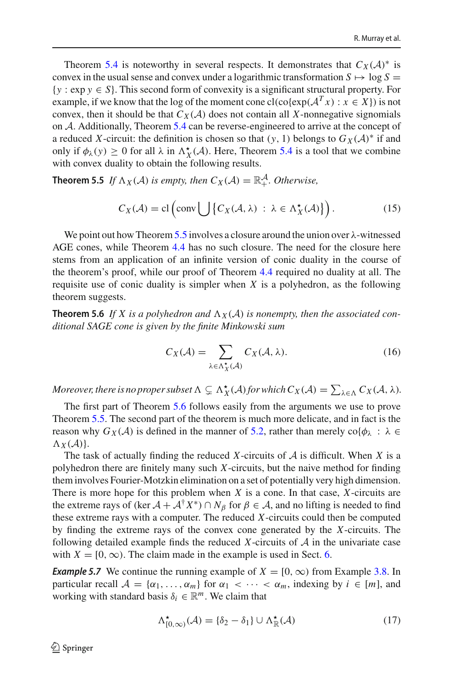Theorem [5.4](#page-20-0) is noteworthy in several respects. It demonstrates that  $C_X(\mathcal{A})^*$  is convex in the usual sense and convex under a logarithmic transformation  $S \mapsto \log S =$ {*y* : exp *y* ∈ *S*}. This second form of convexity is a significant structural property. For example, if we know that the log of the moment cone cl(co{exp( $A<sup>T</sup> x$ ) :  $x \in X$ }) is not convex, then it should be that  $C_X(\mathcal{A})$  does not contain all *X*-nonnegative signomials on *A*. Additionally, Theorem [5.4](#page-20-0) can be reverse-engineered to arrive at the concept of a reduced *X*-circuit: the definition is chosen so that  $(y, 1)$  belongs to  $G_X(\mathcal{A})^*$  if and only if  $\phi_{\lambda}(y) \ge 0$  for all  $\lambda$  in  $\Lambda_X^{\star}(\mathcal{A})$ . Here, Theorem [5.4](#page-20-0) is a tool that we combine with convex duality to obtain the following results.

**Theorem 5.5** *If*  $\Lambda_X(\mathcal{A})$  *is empty, then*  $C_X(\mathcal{A}) = \mathbb{R}^{\mathcal{A}}_+$ *. Otherwise,* 

<span id="page-21-0"></span>
$$
C_X(\mathcal{A}) = \text{cl}\left(\text{conv}\bigcup\left\{C_X(\mathcal{A}, \lambda) \ : \ \lambda \in \Lambda_X^{\star}(\mathcal{A})\right\}\right). \tag{15}
$$

We point out how Theorem [5.5](#page-21-0) involves a closure around the union over  $\lambda$ -witnessed AGE cones, while Theorem [4.4](#page-16-0) has no such closure. The need for the closure here stems from an application of an infinite version of conic duality in the course of the theorem's proof, while our proof of Theorem [4.4](#page-16-0) required no duality at all. The requisite use of conic duality is simpler when *X* is a polyhedron, as the following theorem suggests.

**Theorem 5.6** If X is a polyhedron and  $\Lambda_X(\mathcal{A})$  is nonempty, then the associated con*ditional SAGE cone is given by the finite Minkowski sum*

<span id="page-21-1"></span>
$$
C_X(\mathcal{A}) = \sum_{\lambda \in \Lambda_X^{\star}(\mathcal{A})} C_X(\mathcal{A}, \lambda).
$$
 (16)

*Moreover, there is no proper subset*  $\Lambda \subsetneq \Lambda_X^{\star}(\mathcal{A})$  *for which*  $C_X(\mathcal{A}) = \sum_{\lambda \in \Lambda} C_X(\mathcal{A}, \lambda)$ .

The first part of Theorem [5.6](#page-21-1) follows easily from the arguments we use to prove Theorem [5.5.](#page-21-0) The second part of the theorem is much more delicate, and in fact is the reason why  $G_X(\mathcal{A})$  is defined in the manner of [5.2,](#page-20-1) rather than merely  $\text{co}\{\phi_\lambda : \lambda \in$  $\Lambda_X(\mathcal{A})$ .

The task of actually finding the reduced *X*-circuits of *A* is difficult. When *X* is a polyhedron there are finitely many such *X*-circuits, but the naive method for finding them involves Fourier-Motzkin elimination on a set of potentially very high dimension. There is more hope for this problem when *X* is a cone. In that case, *X*-circuits are the extreme rays of (ker  $A + A^{\dagger} X^*$ )  $\cap N_\beta$  for  $\beta \in A$ , and no lifting is needed to find these extreme rays with a computer. The reduced *X*-circuits could then be computed by finding the extreme rays of the convex cone generated by the *X*-circuits. The following detailed example finds the reduced *X*-circuits of *A* in the univariate case with  $X = [0, \infty)$ . The claim made in the example is used in Sect. [6.](#page-28-1)

*Example 5.7* We continue the running example of  $X = [0, \infty)$  from Example [3.8.](#page-13-0) In particular recall  $A = \{\alpha_1, \dots, \alpha_m\}$  for  $\alpha_1 < \dots < \alpha_m$ , indexing by  $i \in [m]$ , and working with standard basis  $\delta_i \in \mathbb{R}^m$ . We claim that

<span id="page-21-2"></span>
$$
\Lambda_{[0,\infty)}^{\star}(\mathcal{A}) = \{\delta_2 - \delta_1\} \cup \Lambda_{\mathbb{R}}^{\star}(\mathcal{A})
$$
\n(17)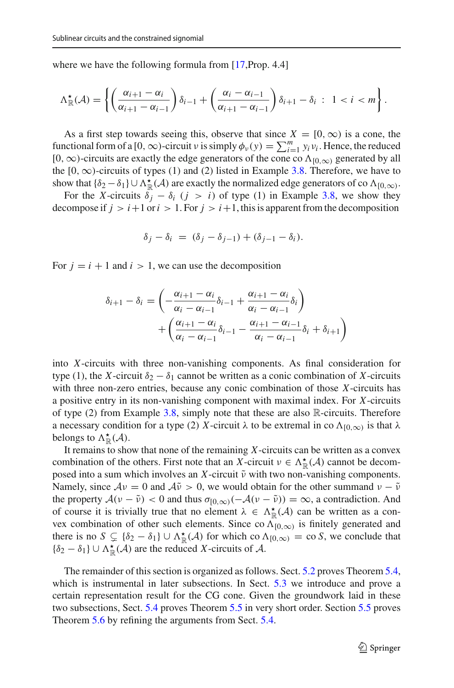where we have the following formula from [\[17](#page-33-9), Prop. 4.4]

$$
\Lambda_{\mathbb{R}}^{\star}(\mathcal{A}) = \left\{ \left( \frac{\alpha_{i+1} - \alpha_i}{\alpha_{i+1} - \alpha_{i-1}} \right) \delta_{i-1} + \left( \frac{\alpha_i - \alpha_{i-1}}{\alpha_{i+1} - \alpha_{i-1}} \right) \delta_{i+1} - \delta_i \; : \; 1 < i < m \right\}.
$$

As a first step towards seeing this, observe that since  $X = [0, \infty)$  is a cone, the functional form of a  $[0, \infty)$ -circuit *v* is simply  $\phi_v(y) = \sum_{i=1}^m y_i v_i$ . Hence, the reduced  $[0, \infty)$ -circuits are exactly the edge generators of the cone co  $\Lambda_{[0,\infty)}$  generated by all the [0,  $\infty$ )-circuits of types (1) and (2) listed in Example [3.8.](#page-13-0) Therefore, we have to show that  $\{\delta_2 - \delta_1\} \cup \Lambda_{\mathbb{R}}^{\star}(\mathcal{A})$  are exactly the normalized edge generators of co  $\Lambda_{[0,\infty)}$ .

For the *X*-circuits  $\delta_i - \delta_i$  (*j* > *i*) of type (1) in Example [3.8,](#page-13-0) we show they decompose if  $j > i+1$  or  $i > 1$ . For  $j > i+1$ , this is apparent from the decomposition

$$
\delta_j - \delta_i = (\delta_j - \delta_{j-1}) + (\delta_{j-1} - \delta_i).
$$

For  $j = i + 1$  and  $i > 1$ , we can use the decomposition

$$
\delta_{i+1} - \delta_i = \left( -\frac{\alpha_{i+1} - \alpha_i}{\alpha_i - \alpha_{i-1}} \delta_{i-1} + \frac{\alpha_{i+1} - \alpha_i}{\alpha_i - \alpha_{i-1}} \delta_i \right) + \left( \frac{\alpha_{i+1} - \alpha_i}{\alpha_i - \alpha_{i-1}} \delta_{i-1} - \frac{\alpha_{i+1} - \alpha_{i-1}}{\alpha_i - \alpha_{i-1}} \delta_i + \delta_{i+1} \right)
$$

into *X*-circuits with three non-vanishing components. As final consideration for type (1), the *X*-circuit  $\delta_2 - \delta_1$  cannot be written as a conic combination of *X*-circuits with three non-zero entries, because any conic combination of those *X*-circuits has a positive entry in its non-vanishing component with maximal index. For *X*-circuits of type (2) from Example  $3.8$ , simply note that these are also R-circuits. Therefore a necessary condition for a type (2) *X*-circuit  $\lambda$  to be extremal in co  $\Lambda_{[0,\infty)}$  is that  $\lambda$ belongs to  $\Lambda^{\star}_{\mathbb{R}}(\mathcal{A})$ .

It remains to show that none of the remaining *X*-circuits can be written as a convex combination of the others. First note that an *X*-circuit  $\nu \in \Lambda^{\star}_{\mathbb{R}}(\mathcal{A})$  cannot be decomposed into a sum which involves an  $X$ -circuit  $\tilde{\nu}$  with two non-vanishing components. Namely, since  $Av = 0$  and  $A\tilde{v} > 0$ , we would obtain for the other summand  $v - \tilde{v}$ the property  $A(v - \tilde{v}) < 0$  and thus  $\sigma_{[0,\infty)}(-A(v - \tilde{v})) = \infty$ , a contradiction. And of course it is trivially true that no element  $\lambda \in \Lambda^{\star}_{\mathbb{R}}(\mathcal{A})$  can be written as a convex combination of other such elements. Since co  $\Lambda_{[0,\infty)}$  is finitely generated and there is no  $S \subsetneq {\delta_2 - \delta_1} \cup \Lambda_{\mathbb{R}}^{\star}(\mathcal{A})$  for which co  $\Lambda_{[0,\infty)} = \text{co } S$ , we conclude that  $\{\delta_2 - \delta_1\} \cup \Lambda_{\mathbb{R}}^{\star}(\mathcal{A})$  are the reduced *X*-circuits of  $\mathcal{A}$ .

The remainder of this section is organized as follows. Sect. [5.2](#page-23-0) proves Theorem [5.4,](#page-20-0) which is instrumental in later subsections. In Sect. [5.3](#page-24-0) we introduce and prove a certain representation result for the CG cone. Given the groundwork laid in these two subsections, Sect. [5.4](#page-25-0) proves Theorem [5.5](#page-21-0) in very short order. Section [5.5](#page-25-1) proves Theorem [5.6](#page-21-1) by refining the arguments from Sect. [5.4.](#page-25-0)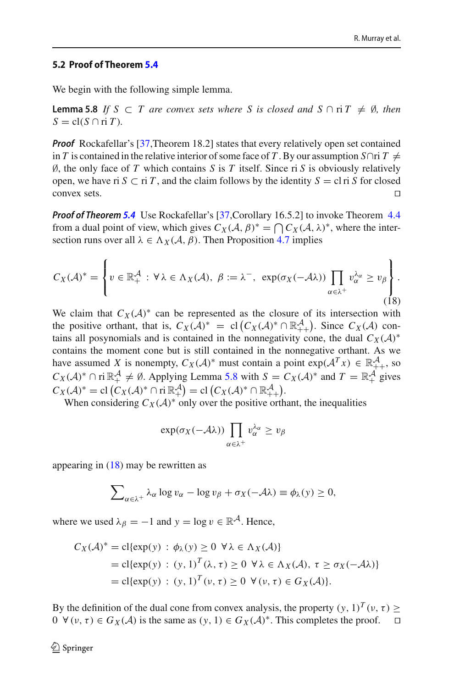#### <span id="page-23-0"></span>**5.2 Proof of Theorem [5.4](#page-20-0)**

<span id="page-23-1"></span>We begin with the following simple lemma.

**Lemma 5.8** *If*  $S \subset T$  *are convex sets where* S *is closed and*  $S \cap T \neq \emptyset$ *, then*  $S = \text{cl}(S \cap \text{ri } T)$ .

*Proof* Rockafellar's [\[37](#page-34-16),Theorem 18.2] states that every relatively open set contained in *T* is contained in the relative interior of some face of *T*. By our assumption *S*∩ri *T*  $\neq$ ∅, the only face of *T* which contains *S* is *T* itself. Since ri *S* is obviously relatively open, we have ri *S* ⊂ ri *T*, and the claim follows by the identity *S* = cl ri *S* for closed convex sets.  $\Box$ convex sets.  $\square$ 

*Proof of Theorem [5.4](#page-20-0)* Use Rockafellar's [\[37,](#page-34-16)Corollary 16.5.2] to invoke Theorem [4.4](#page-16-0) from a dual point of view, which gives  $C_X(\mathcal{A}, \beta)^* = \bigcap C_X(\mathcal{A}, \lambda)^*$ , where the intersection runs over all  $\lambda \in \Lambda_X(\mathcal{A}, \beta)$ . Then Proposition [4.7](#page-18-0) implies

<span id="page-23-2"></span>
$$
C_X(\mathcal{A})^* = \left\{ v \in \mathbb{R}_+^{\mathcal{A}} : \forall \lambda \in \Lambda_X(\mathcal{A}), \ \beta := \lambda^-, \ \exp(\sigma_X(-\mathcal{A}\lambda)) \prod_{\alpha \in \lambda^+} v_\alpha^{\lambda_\alpha} \ge v_\beta \right\}.
$$
\n(18)

We claim that  $C_X(\mathcal{A})^*$  can be represented as the closure of its intersection with the positive orthant, that is,  $C_X(\mathcal{A})^* = \text{cl}(C_X(\mathcal{A})^* \cap \mathbb{R}^{\mathcal{A}}_{++})$ . Since  $C_X(\mathcal{A})$  contains all posynomials and is contained in the nonnegativity cone, the dual  $C_X(\mathcal{A})^*$ contains the moment cone but is still contained in the nonnegative orthant. As we have assumed *X* is nonempty,  $C_X(\mathcal{A})^*$  must contain a point  $exp(\mathcal{A}^T x) \in \mathbb{R}^{\mathcal{A}}_{++}$ , so  $C_X(\mathcal{A})^* \cap \text{ri } \mathbb{R}^{\mathcal{A}}_+ \neq \emptyset$ . Applying Lemma [5.8](#page-23-1) with  $S = C_X(\mathcal{A})^*$  and  $T = \mathbb{R}^{\mathcal{A}}_+$  gives  $C_X(\mathcal{A})^* = \text{cl}(C_X(\mathcal{A})^* \cap \text{ri} \ \mathbb{R}^{\mathcal{A}}_+ ) = \text{cl}(C_X(\mathcal{A})^* \cap \mathbb{R}^{\mathcal{A}}_{++}).$ 

When considering  $C_X(A)^*$  only over the positive orthant, the inequalities

$$
\exp(\sigma_X(-\mathcal{A}\lambda))\prod_{\alpha\in\lambda^+}v_\alpha^{\lambda_\alpha}\geq v_\beta
$$

appearing in  $(18)$  may be rewritten as

$$
\sum_{\alpha \in \lambda^+} \lambda_\alpha \log v_\alpha - \log v_\beta + \sigma_X(-\lambda \lambda) \equiv \phi_\lambda(y) \ge 0,
$$

where we used  $\lambda_{\beta} = -1$  and  $y = \log v \in \mathbb{R}^{\mathcal{A}}$ . Hence,

$$
C_X(\mathcal{A})^* = \text{cl}\{\exp(y) : \phi_\lambda(y) \ge 0 \ \forall \lambda \in \Lambda_X(\mathcal{A})\}
$$
  
= cl\{\exp(y) : (y, 1)<sup>T</sup>(\lambda, \tau) \ge 0 \ \forall \lambda \in \Lambda\_X(\mathcal{A}), \ \tau \ge \sigma\_X(-\mathcal{A}\lambda)\}  
= cl\{\exp(y) : (y, 1)<sup>T</sup>(\nu, \tau) \ge 0 \ \forall (\nu, \tau) \in G\_X(\mathcal{A})\}.

By the definition of the dual cone from convex analysis, the property  $(y, 1)^T (v, \tau) \ge 0$   $\forall (v, \tau) \in G_Y(\mathcal{A})$  is the same as  $(v, 1) \in G_Y(\mathcal{A})^*$ . This completes the proof.  $0 \ \forall (v, \tau) \in G_X(\mathcal{A})$  is the same as  $(y, 1) \in G_X(\mathcal{A})^*$ . This completes the proof.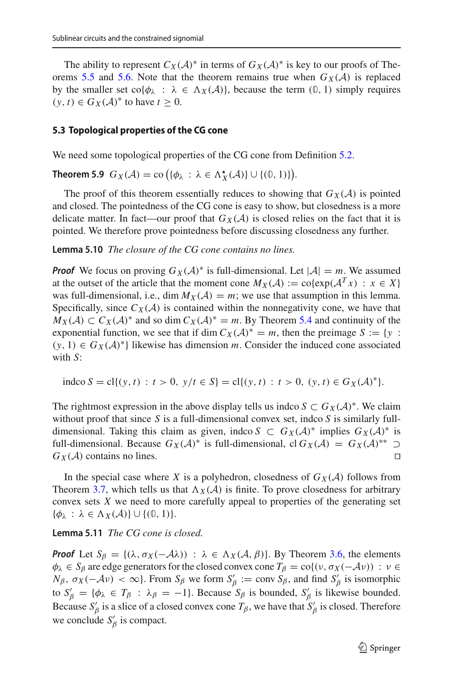The ability to represent  $C_X(\mathcal{A})^*$  in terms of  $G_X(\mathcal{A})^*$  is key to our proofs of The-orems [5.5](#page-21-0) and [5.6.](#page-21-1) Note that the theorem remains true when  $G_X(\mathcal{A})$  is replaced by the smaller set  $\text{co}\{\phi_{\lambda} : \lambda \in \Lambda_X(\mathcal{A})\}$ , because the term  $(0, 1)$  simply requires  $(y, t) \in G_X(\mathcal{A})^*$  to have  $t > 0$ .

#### <span id="page-24-2"></span><span id="page-24-0"></span>**5.3 Topological properties of the CG cone**

We need some topological properties of the CG cone from Definition [5.2.](#page-20-1)

**Theorem 5.9**  $G_X(\mathcal{A}) = \text{co} \left( \{ \phi_\lambda : \lambda \in \Lambda_X^{\star}(\mathcal{A}) \} \cup \{ (0, 1) \} \right)$ .

<span id="page-24-1"></span>The proof of this theorem essentially reduces to showing that  $G_X(\mathcal{A})$  is pointed and closed. The pointedness of the CG cone is easy to show, but closedness is a more delicate matter. In fact—our proof that  $G_X(\mathcal{A})$  is closed relies on the fact that it is pointed. We therefore prove pointedness before discussing closedness any further.

**Lemma 5.10** *The closure of the CG cone contains no lines.*

*Proof* We focus on proving  $G_X(\mathcal{A})^*$  is full-dimensional. Let  $|\mathcal{A}| = m$ . We assumed at the outset of the article that the moment cone  $M_X(\mathcal{A}) := \text{co}\{\exp(\mathcal{A}^T x) : x \in X\}$ was full-dimensional, i.e., dim  $M_X(\mathcal{A}) = m$ ; we use that assumption in this lemma. Specifically, since  $C_X(\mathcal{A})$  is contained within the nonnegativity cone, we have that *M*<sub>*X*</sub>(*A*) ⊂ *C*<sub>*X*</sub>(*A*)<sup>\*</sup> and so dim  $C_X(A)^* = m$ . By Theorem [5.4](#page-20-0) and continuity of the exponential function, we see that if dim  $C_X(\mathcal{A})^* = m$ , then the preimage  $S := \{y :$  $(y, 1) \in G_X(\mathcal{A})^*$  likewise has dimension *m*. Consider the induced cone associated with *S*:

$$
indco S = cl{(y, t) : t > 0, y/t ∈ S} = cl{(y, t) : t > 0, (y, t) ∈ GX(A)*}.
$$

The rightmost expression in the above display tells us indco  $S \subset G_X(\mathcal{A})^*$ . We claim without proof that since *S* is a full-dimensional convex set, indco *S* is similarly fulldimensional. Taking this claim as given, indco  $S \subset G_X(\mathcal{A})^*$  implies  $G_X(\mathcal{A})^*$  is full-dimensional. Because  $G_X(\mathcal{A})^*$  is full-dimensional, cl  $G_X(\mathcal{A}) = G_X(\mathcal{A})^{**} \supset G_Y(\mathcal{A})$  contains no lines.  $G_X(\mathcal{A})$  contains no lines.

<span id="page-24-3"></span>In the special case where *X* is a polyhedron, closedness of  $G_X(\mathcal{A})$  follows from Theorem [3.7,](#page-12-0) which tells us that  $\Lambda_X(\mathcal{A})$  is finite. To prove closedness for arbitrary convex sets *X* we need to more carefully appeal to properties of the generating set  $\{\phi_{\lambda} : \lambda \in \Lambda_X(\mathcal{A})\} \cup \{(\mathbb{0}, 1)\}.$ 

## **Lemma 5.11** *The CG cone is closed.*

*Proof* Let  $S_\beta = \{(\lambda, \sigma_X(-A\lambda)) : \lambda \in \Lambda_X(A, \beta)\}\)$ . By Theorem [3.6,](#page-10-0) the elements  $\phi_{\lambda} \in S_{\beta}$  are edge generators for the closed convex cone  $T_{\beta} = \text{co}\{(v, \sigma_X(-\mathcal{A}v)) : v \in$ *N*<sub>β</sub>,  $\sigma_X(-\mathcal{A}\nu) < \infty$ }. From  $S_\beta$  we form  $S'_\beta := \text{conv } S_\beta$ , and find  $S'_\beta$  is isomorphic to  $S'_{\beta} = {\phi_{\lambda} \in T_{\beta} : \lambda_{\beta} = -1}.$  Because  $S_{\beta}$  is bounded,  $S'_{\beta}$  is likewise bounded. Because  $S'_\beta$  is a slice of a closed convex cone  $T_\beta$ , we have that  $S'_\beta$  is closed. Therefore we conclude  $S'_{\beta}$  is compact.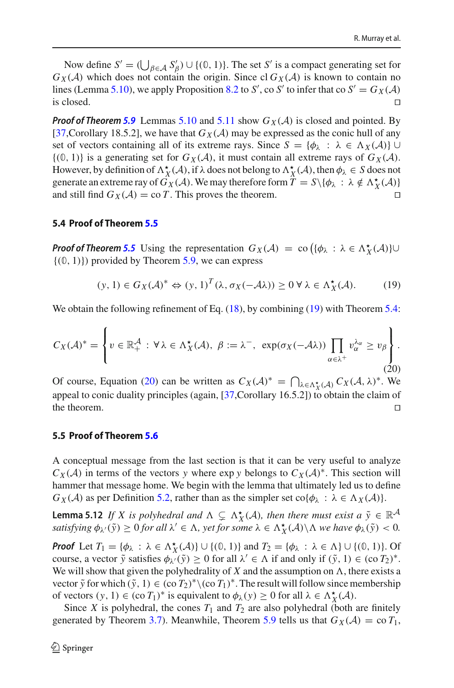Now define  $S' = (\bigcup_{\beta \in \mathcal{A}} S'_{\beta}) \cup \{(0, 1)\}\)$ . The set *S'* is a compact generating set for  $G_X(\mathcal{A})$  which does not contain the origin. Since cl  $G_X(\mathcal{A})$  is known to contain no lines (Lemma [5.10\)](#page-24-1), we apply Proposition [8.2](#page-31-1) to *S'*, co *S'* to infer that co  $S' = G_X(\mathcal{A})$ is closed.  $\Box$ 

*Proof of Theorem* [5.9](#page-24-2) Lemmas [5.10](#page-24-1) and [5.11](#page-24-3) show  $G_X(\mathcal{A})$  is closed and pointed. By [\[37](#page-34-16), Corollary 18.5.2], we have that  $G_X(\mathcal{A})$  may be expressed as the conic hull of any set of vectors containing all of its extreme rays. Since  $S = {\phi_{\lambda} : \lambda \in \Lambda_X(\mathcal{A})}$  ∪  $\{(0, 1)\}\$ is a generating set for  $G_X(\mathcal{A})$ , it must contain all extreme rays of  $G_X(\mathcal{A})$ . However, by definition of  $\Lambda_X^{\star}(A)$ , if  $\lambda$  does not belong to  $\Lambda_X^{\star}(A)$ , then  $\phi_{\lambda} \in S$  does not generate an extreme ray of  $G_X(\mathcal{A})$ . We may therefore form  $\widetilde{T} = S \setminus \{\phi_\lambda : \lambda \notin \Lambda_X^{\star}(\mathcal{A})\}$ and still find  $G_X(\mathcal{A}) = \text{co } T$ . This proves the theorem.

#### <span id="page-25-0"></span>**5.4 Proof of Theorem [5.5](#page-21-0)**

*Proof of Theorem [5.5](#page-21-0)* Using the representation  $G_X(\mathcal{A}) = \text{co} \left( \{ \phi_\lambda : \lambda \in \Lambda_X^{\star}(\mathcal{A}) \} \cup \{ \phi_\lambda \} \right)$  $\{(0, 1)\}\)$  provided by Theorem [5.9,](#page-24-2) we can express

<span id="page-25-2"></span>
$$
(y,1) \in G_X(\mathcal{A})^* \Leftrightarrow (y,1)^T (\lambda, \sigma_X(-\mathcal{A}\lambda)) \ge 0 \,\forall \,\lambda \in \Lambda_X^{\star}(\mathcal{A}).\tag{19}
$$

We obtain the following refinement of Eq. [\(18\)](#page-23-2), by combining [\(19\)](#page-25-2) with Theorem [5.4:](#page-20-0)

<span id="page-25-3"></span>
$$
C_X(\mathcal{A})^* = \left\{ v \in \mathbb{R}_+^{\mathcal{A}} : \forall \lambda \in \Lambda_X^{\star}(\mathcal{A}), \ \beta := \lambda^-, \ \exp(\sigma_X(-\mathcal{A}\lambda)) \prod_{\alpha \in \lambda^+} v_{\alpha}^{\lambda_{\alpha}} \ge v_{\beta} \right\}.
$$
\n(20)

Of course, Equation [\(20\)](#page-25-3) can be written as  $C_X(\mathcal{A})^* = \bigcap_{\lambda \in \Lambda_X^*} C_X(\mathcal{A}) C_X(\mathcal{A}, \lambda)^*$ . We appeal to conic duality principles (again, [\[37](#page-34-16),Corollary 16.5.2]) to obtain the claim of the theorem.  $\Box$ 

#### <span id="page-25-1"></span>**5.5 Proof of Theorem [5.6](#page-21-1)**

A conceptual message from the last section is that it can be very useful to analyze  $C_X(\mathcal{A})$  in terms of the vectors *y* where exp *y* belongs to  $C_X(\mathcal{A})^*$ . This section will hammer that message home. We begin with the lemma that ultimately led us to define *G<sub>X</sub>* (*A*) as per Definition [5.2,](#page-20-1) rather than as the simpler set co{ $\phi_{\lambda} : \lambda \in \Lambda_X(\mathcal{A})$ }.

<span id="page-25-4"></span>**Lemma 5.12** *If X is polyhedral and*  $\Lambda \subsetneq \Lambda_X^{\star}(\mathcal{A})$ *, then there must exist a*  $\tilde{y} \in \mathbb{R}^{\mathcal{A}}$ *satisfying*  $\phi_{\lambda'}(\tilde{y}) \ge 0$  *for all*  $\lambda' \in \Lambda$ , *yet for some*  $\lambda \in \Lambda_X^{\star}(\mathcal{A}) \setminus \Lambda$  *we have*  $\phi_{\lambda}(\tilde{y}) < 0$ *.* 

*Proof* Let  $T_1 = {\phi_{\lambda} : \lambda \in \Lambda_X^{\star}(\mathcal{A})} \cup \{ (0, 1) \}$  and  $T_2 = {\phi_{\lambda} : \lambda \in \Lambda} \cup \{ (0, 1) \}$ . Of course, a vector  $\tilde{y}$  satisfies  $\phi_{\lambda'}(\tilde{y}) \ge 0$  for all  $\lambda' \in \Lambda$  if and only if  $(\tilde{y}, 1) \in (\text{co } T_2)^*$ . We will show that given the polyhedrality of  $X$  and the assumption on  $\Lambda$ , there exists a vector  $\tilde{y}$  for which  $(\tilde{y}, 1) \in (\text{co } T_2)^* \setminus (\text{co } T_1)^*$ . The result will follow since membership of vectors  $(y, 1) \in (\text{co } T_1)^*$  is equivalent to  $\phi_\lambda(y) \ge 0$  for all  $\lambda \in \Lambda_X^*(\mathcal{A})$ .

Since *X* is polyhedral, the cones  $T_1$  and  $T_2$  are also polyhedral (both are finitely generated by Theorem [3.7\)](#page-12-0). Meanwhile, Theorem [5.9](#page-24-2) tells us that  $G_X(\mathcal{A}) = \text{co } T_1$ ,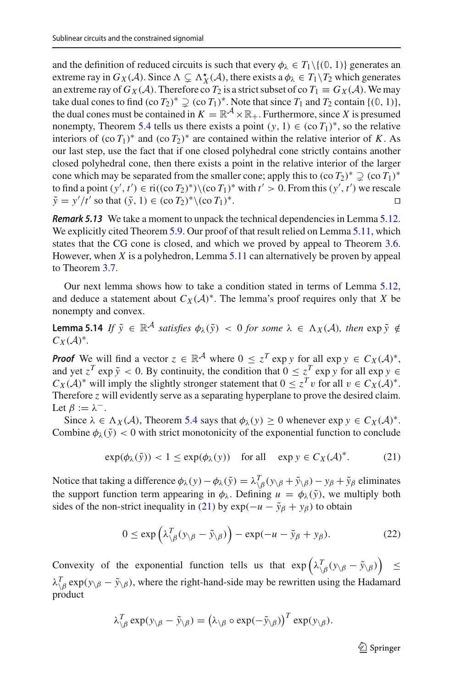and the definition of reduced circuits is such that every  $\phi_{\lambda} \in T_1 \setminus \{ (0, 1) \}$  generates an extreme ray in  $G_X(\mathcal{A})$ . Since  $\Lambda \subsetneq \Lambda_X^{\star}(\mathcal{A})$ , there exists a  $\phi_{\lambda} \in T_1 \setminus T_2$  which generates an extreme ray of  $G_X(\mathcal{A})$ . Therefore co  $T_2$  is a strict subset of co  $T_1 \equiv G_X(\mathcal{A})$ . We may take dual cones to find  $(\text{co } T_2)^* \supset (\text{co } T_1)^*$ . Note that since  $T_1$  and  $T_2$  contain  $\{(0, 1)\},$ the dual cones must be contained in  $K = \mathbb{R}^{\mathcal{A}} \times \mathbb{R}_+$ . Furthermore, since X is presumed nonempty, Theorem [5.4](#page-20-0) tells us there exists a point  $(y, 1) \in (\text{co } T_1)^*$ , so the relative interiors of  $(\text{co } T_1)^*$  and  $(\text{co } T_2)^*$  are contained within the relative interior of *K*. As our last step, use the fact that if one closed polyhedral cone strictly contains another closed polyhedral cone, then there exists a point in the relative interior of the larger cone which may be separated from the smaller cone; apply this to  $(\text{co } T_2)^* \supseteq (\text{co } T_1)^*$ to find a point  $(y', t') \in \text{ri}((\text{co } T_2)^*) \setminus (\text{co } T_1)^*$  with  $t' > 0$ . From this  $(y', t')$  we rescale  $\tilde{y} = y'/t'$  so that ( $\tilde{y}$ , 1) ∈ (co *T*<sub>2</sub>)<sup>\*</sup>\(co *T*<sub>1</sub>)<sup>\*</sup>.

*Remark 5.13* We take a moment to unpack the technical dependencies in Lemma [5.12.](#page-25-4) We explicitly cited Theorem [5.9.](#page-24-2) Our proof of that result relied on Lemma [5.11,](#page-24-3) which states that the CG cone is closed, and which we proved by appeal to Theorem [3.6.](#page-10-0) However, when *X* is a polyhedron, Lemma [5.11](#page-24-3) can alternatively be proven by appeal to Theorem [3.7.](#page-12-0)

<span id="page-26-0"></span>Our next lemma shows how to take a condition stated in terms of Lemma [5.12,](#page-25-4) and deduce a statement about  $C_X(\mathcal{A})^*$ . The lemma's proof requires only that *X* be nonempty and convex.

**Lemma 5.14** *If*  $\tilde{y} \in \mathbb{R}^{\mathcal{A}}$  *satisfies*  $\phi_{\lambda}(\tilde{y}) < 0$  *for some*  $\lambda \in \Lambda_X(\mathcal{A})$ *, then* exp  $\tilde{y} \notin$  $C_X(\mathcal{A})^*$ .

*Proof* We will find a vector  $z \in \mathbb{R}^{\mathcal{A}}$  where  $0 \leq z^T \exp y$  for all  $\exp y \in C_X(\mathcal{A})^*$ , and yet  $z^T$  exp  $\tilde{y}$  < 0. By continuity, the condition that  $0 \le z^T$  exp *y* for all exp  $y \in$  $C_X(\mathcal{A})^*$  will imply the slightly stronger statement that  $0 \leq z^T v$  for all  $v \in C_X(\mathcal{A})^*$ . Therefore *z* will evidently serve as a separating hyperplane to prove the desired claim. Let  $\beta := \lambda^-$ .

Since  $\lambda \in \Lambda_X(\mathcal{A})$ , Theorem [5.4](#page-20-0) says that  $\phi_{\lambda}(y) \geq 0$  whenever exp  $y \in C_X(\mathcal{A})^*$ . Combine  $\phi_{\lambda}(\tilde{y}) < 0$  with strict monotonicity of the exponential function to conclude

<span id="page-26-1"></span>
$$
\exp(\phi_{\lambda}(\tilde{y})) < 1 \le \exp(\phi_{\lambda}(y)) \quad \text{for all} \quad \exp y \in C_X(\mathcal{A})^* \tag{21}
$$

Notice that taking a difference  $\phi_{\lambda}(y) - \phi_{\lambda}(\tilde{y}) = \lambda \begin{matrix} T \\ \beta\end{matrix}(y_{\lambda}\beta + \tilde{y}_{\lambda}\beta) - y_{\beta} + \tilde{y}_{\beta}$  eliminates the support function term appearing in  $\phi_{\lambda}$ . Defining  $u = \phi_{\lambda}(\tilde{y})$ , we multiply both sides of the non-strict inequality in [\(21\)](#page-26-1) by  $exp(-u - \tilde{y}_\beta + y_\beta)$  to obtain

$$
0 \le \exp\left(\lambda \frac{\gamma}{\beta} (y_{\setminus \beta} - \tilde{y}_{\setminus \beta})\right) - \exp(-u - \tilde{y}_{\beta} + y_{\beta}). \tag{22}
$$

Convexity of the exponential function tells us that  $\exp\left(\lambda \frac{T}{\beta}(y_{\gamma}\beta - \tilde{y}_{\gamma}\beta)\right) \le$  $\lambda^T_{\beta} \exp(y_{\beta} - \tilde{y}_{\beta})$ , where the right-hand-side may be rewritten using the Hadamard product

$$
\lambda_{\setminus\beta}^T \exp(y_{\setminus\beta} - \tilde{y}_{\setminus\beta}) = (\lambda_{\setminus\beta} \circ \exp(-\tilde{y}_{\setminus\beta}))^T \exp(y_{\setminus\beta}).
$$

<span id="page-26-2"></span> $\mathcal{D}$  Springer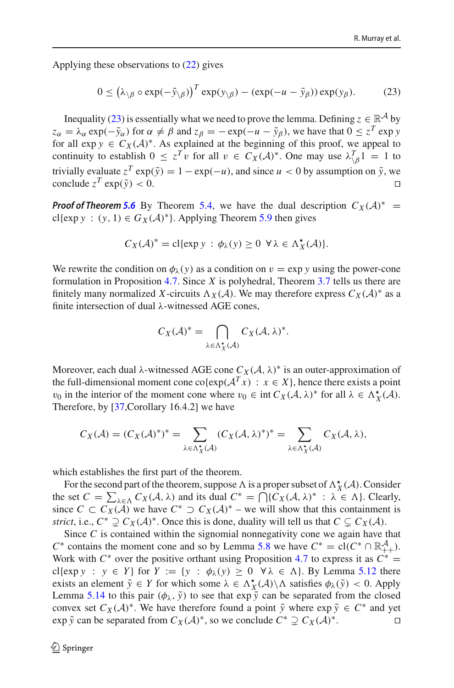Applying these observations to [\(22\)](#page-26-2) gives

<span id="page-27-0"></span>
$$
0 \le (\lambda_{\setminus \beta} \circ \exp(-\tilde{y}_{\setminus \beta}))^{T} \exp(y_{\setminus \beta}) - (\exp(-u - \tilde{y}_{\beta})) \exp(y_{\beta}). \tag{23}
$$

Inequality [\(23\)](#page-27-0) is essentially what we need to prove the lemma. Defining  $z \in \mathbb{R}^{\mathcal{A}}$  by  $z_{\alpha} = \lambda_{\alpha} \exp(-\tilde{y}_{\alpha})$  for  $\alpha \neq \beta$  and  $z_{\beta} = -\exp(-u - \tilde{y}_{\beta})$ , we have that  $0 \leq z^{T} \exp y$ for all  $\exp y \in C_X(\mathcal{A})^*$ . As explained at the beginning of this proof, we appeal to continuity to establish  $0 \le z^T v$  for all  $v \in C_X(\mathcal{A})^*$ . One may use  $\lambda \begin{cases} \frac{T}{\beta} & = 1 \end{cases}$  to trivially evaluate  $z^T \exp(\tilde{y}) = 1 - \exp(-u)$ , and since  $u < 0$  by assumption on  $\tilde{y}$ , we conclude  $z^T \exp(\tilde{y}) < 0$ . conclude  $z^T$  exp( $\tilde{y}$ ) < 0.

*Proof of Theorem [5.6](#page-21-1)* By Theorem [5.4,](#page-20-0) we have the dual description  $C_X(\mathcal{A})^*$  = cl{exp  $y : (y, 1) \in G_X(\mathcal{A})^*$ }. Applying Theorem [5.9](#page-24-2) then gives

$$
C_X(\mathcal{A})^* = \text{cl} \{ \exp y \, : \, \phi_\lambda(y) \geq 0 \ \forall \lambda \in \Lambda_X^{\star}(\mathcal{A}) \}.
$$

We rewrite the condition on  $\phi_{\lambda}(y)$  as a condition on  $v = \exp y$  using the power-cone formulation in Proposition [4.7.](#page-18-0) Since *X* is polyhedral, Theorem [3.7](#page-12-0) tells us there are finitely many normalized *X*-circuits  $\Lambda_X(\mathcal{A})$ . We may therefore express  $C_X(\mathcal{A})^*$  as a finite intersection of dual λ-witnessed AGE cones,

$$
C_X(\mathcal{A})^* = \bigcap_{\lambda \in \Lambda_X^*(\mathcal{A})} C_X(\mathcal{A}, \lambda)^*.
$$

Moreover, each dual  $\lambda$ -witnessed AGE cone  $C_X(\mathcal{A}, \lambda)^*$  is an outer-approximation of the full-dimensional moment cone co{exp( $A<sup>T</sup>x$ ) :  $x \in X$ }, hence there exists a point v<sub>0</sub> in the interior of the moment cone where  $v_0 \in \text{int } C_X(\mathcal{A}, \lambda)^*$  for all  $\lambda \in \Lambda_X^{\star}(\mathcal{A})$ . Therefore, by [\[37,](#page-34-16)Corollary 16.4.2] we have

$$
C_X(\mathcal{A}) = (C_X(\mathcal{A})^*)^* = \sum_{\lambda \in \Lambda_X^*(\mathcal{A})} (C_X(\mathcal{A}, \lambda)^*)^* = \sum_{\lambda \in \Lambda_X^*(\mathcal{A})} C_X(\mathcal{A}, \lambda),
$$

which establishes the first part of the theorem.

For the second part of the theorem, suppose  $\Lambda$  is a proper subset of  $\Lambda_X^{\star}(\mathcal{A})$ . Consider the set  $C = \sum_{\lambda \in \Lambda} C_X(\lambda, \lambda)$  and its dual  $C^* = \bigcap \{C_X(\lambda, \lambda)^* : \lambda \in \Lambda\}$ . Clearly, since *C* ⊂  $C_X(\mathcal{A})$  we have  $C^*$  ⊃  $C_X(\mathcal{A})^*$  – we will show that this containment is *strict*, i.e.,  $C^* \supsetneq C_X(\mathcal{A})^*$ . Once this is done, duality will tell us that  $C \subsetneq C_X(\mathcal{A})$ .

Since *C* is contained within the signomial nonnegativity cone we again have that *C*<sup>∗</sup> contains the moment cone and so by Lemma [5.8](#page-23-1) we have  $C^* = \text{cl}(C^* \cap \mathbb{R}^A_{++})$ . Work with  $C^*$  over the positive orthant using Proposition [4.7](#page-18-0) to express it as  $C^*$  = cl{exp *y* :  $y \in Y$ } for  $Y := \{y : \phi_\lambda(y) \geq 0 \ \forall \lambda \in \Lambda\}$ . By Lemma [5.12](#page-25-4) there exists an element  $\tilde{y} \in Y$  for which some  $\lambda \in \Lambda_X^{\star}(\mathcal{A}) \setminus \Lambda$  satisfies  $\phi_{\lambda}(\tilde{y}) < 0$ . Apply Lemma [5.14](#page-26-0) to this pair  $(\phi_{\lambda}, \tilde{y})$  to see that  $\exp \tilde{y}$  can be separated from the closed convex set  $C_X(\mathcal{A})^*$ . We have therefore found a point  $\tilde{y}$  where  $\exp \tilde{y} \in C^*$  and yet  $\exp \tilde{y}$  can be separated from  $C_X(\mathcal{A})^*$ , so we conclude  $C^* \supset C_X(\mathcal{A})^*$ . exp  $\tilde{y}$  can be separated from  $C_X(\mathcal{A})^*$ , so we conclude  $C^* \supseteq C_X(\mathcal{A})^*$ .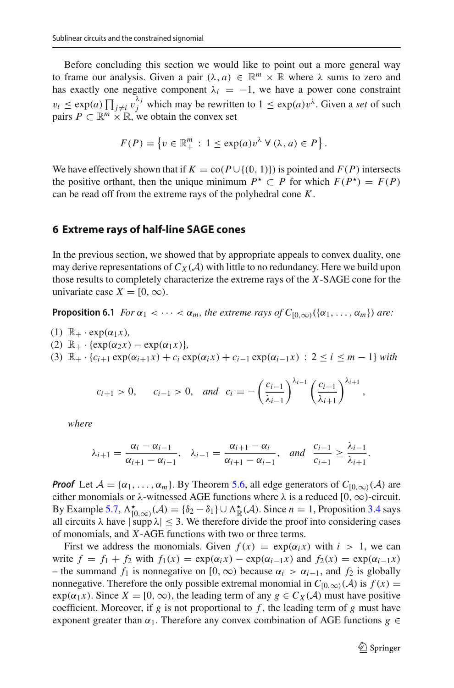Before concluding this section we would like to point out a more general way to frame our analysis. Given a pair  $(\lambda, a) \in \mathbb{R}^m \times \mathbb{R}$  where  $\lambda$  sums to zero and has exactly one negative component  $\lambda_i = -1$ , we have a power cone constraint  $v_i \leq \exp(a) \prod_{j \neq i} v_j^{\lambda_j}$  which may be rewritten to  $1 \leq \exp(a) v^{\lambda}$ . Given a *set* of such pairs  $P \subset \mathbb{R}^m \times \mathbb{R}$ , we obtain the convex set

$$
F(P) = \left\{ v \in \mathbb{R}^m_+ : 1 \leq \exp(a) v^{\lambda} \ \forall \ (\lambda, a) \in P \right\}.
$$

We have effectively shown that if  $K = co(P \cup \{(0, 1)\})$  is pointed and  $F(P)$  intersects the positive orthant, then the unique minimum  $P^* \subset P$  for which  $F(P^*) = F(P)$ can be read off from the extreme rays of the polyhedral cone *K*.

# <span id="page-28-1"></span>**6 Extreme rays of half-line SAGE cones**

<span id="page-28-0"></span>In the previous section, we showed that by appropriate appeals to convex duality, one may derive representations of  $C_X(\mathcal{A})$  with little to no redundancy. Here we build upon those results to completely characterize the extreme rays of the *X*-SAGE cone for the univariate case  $X = [0, \infty)$ .

**Proposition 6.1** *For*  $\alpha_1 < \cdots < \alpha_m$ , the extreme rays of  $C_{[0,\infty)}(\{\alpha_1, \ldots, \alpha_m\})$  are:

- (1)  $\mathbb{R}_+ \cdot \exp(\alpha_1 x)$ ,
- (2)  $\mathbb{R}_+ \cdot \{ \exp(\alpha_2 x) \exp(\alpha_1 x) \}$
- (3)  $\mathbb{R}_+ \cdot \{c_{i+1} \exp(\alpha_{i+1}x) + c_i \exp(\alpha_i x) + c_{i-1} \exp(\alpha_{i-1}x) : 2 \le i \le m-1\}$  with

$$
c_{i+1} > 0
$$
,  $c_{i-1} > 0$ , and  $c_i = -\left(\frac{c_{i-1}}{\lambda_{i-1}}\right)^{\lambda_{i-1}} \left(\frac{c_{i+1}}{\lambda_{i+1}}\right)^{\lambda_{i+1}}$ ,

*where*

$$
\lambda_{i+1}=\frac{\alpha_i-\alpha_{i-1}}{\alpha_{i+1}-\alpha_{i-1}}, \quad \lambda_{i-1}=\frac{\alpha_{i+1}-\alpha_i}{\alpha_{i+1}-\alpha_{i-1}}, \quad \text{and} \quad \frac{c_{i-1}}{c_{i+1}}\geq \frac{\lambda_{i-1}}{\lambda_{i+1}}.
$$

*Proof* Let  $A = {\alpha_1, \ldots, \alpha_m}$ . By Theorem [5.6,](#page-21-1) all edge generators of  $C_{[0,\infty)}(A)$  are either monomials or  $\lambda$ -witnessed AGE functions where  $\lambda$  is a reduced  $[0, \infty)$ -circuit. By Example [5.7,](#page-21-2)  $\Lambda_{[0,\infty)}^{\star}(\mathcal{A}) = \{\delta_2 - \delta_1\} \cup \Lambda_{\mathbb{R}}^{\star}(\mathcal{A})$ . Since *n* = 1, Proposition [3.4](#page-9-0) says all circuits  $\lambda$  have  $|\supp \lambda| \leq 3$ . We therefore divide the proof into considering cases of monomials, and *X*-AGE functions with two or three terms.

First we address the monomials. Given  $f(x) = \exp(\alpha_i x)$  with  $i > 1$ , we can write  $f = f_1 + f_2$  with  $f_1(x) = \exp(\alpha_i x) - \exp(\alpha_{i-1} x)$  and  $f_2(x) = \exp(\alpha_{i-1} x)$ – the summand *f*<sub>1</sub> is nonnegative on [0, ∞) because  $\alpha$ <sup>*i*</sup> >  $\alpha$ <sup>*i*</sup>−1, and *f*<sub>2</sub> is globally nonnegative. Therefore the only possible extremal monomial in  $C_{[0,\infty)}(\mathcal{A})$  is  $f(x) =$  $\exp(\alpha_1 x)$ . Since  $X = [0, \infty)$ , the leading term of any  $g \in C_X(\mathcal{A})$  must have positive coefficient. Moreover, if  $g$  is not proportional to  $f$ , the leading term of  $g$  must have exponent greater than  $\alpha_1$ . Therefore any convex combination of AGE functions  $g \in$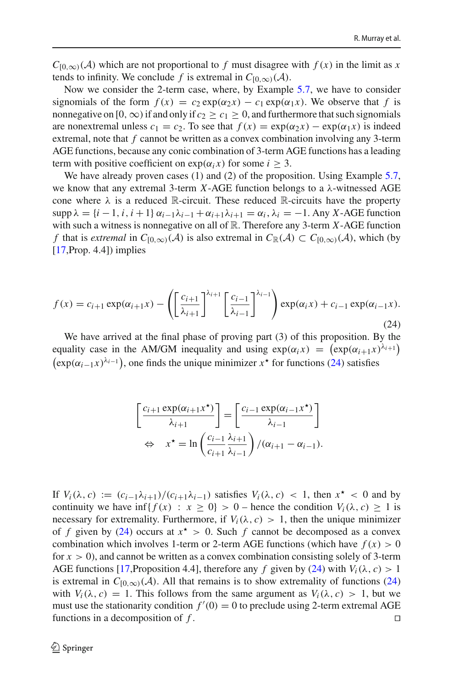$C_{[0,\infty)}(\mathcal{A})$  which are not proportional to *f* must disagree with  $f(x)$  in the limit as *x* tends to infinity. We conclude *f* is extremal in  $C_{[0,\infty)}(\mathcal{A})$ .

Now we consider the 2-term case, where, by Example [5.7,](#page-21-2) we have to consider signomials of the form  $f(x) = c_2 \exp(\alpha_2 x) - c_1 \exp(\alpha_1 x)$ . We observe that *f* is nonnegative on [0, ∞) if and only if  $c_2 \ge c_1 \ge 0$ , and furthermore that such signomials are nonextremal unless  $c_1 = c_2$ . To see that  $f(x) = \exp(\alpha_2 x) - \exp(\alpha_1 x)$  is indeed extremal, note that *f* cannot be written as a convex combination involving any 3-term AGE functions, because any conic combination of 3-term AGE functions has a leading term with positive coefficient on  $exp(\alpha_i x)$  for some  $i > 3$ .

We have already proven cases (1) and (2) of the proposition. Using Example [5.7,](#page-21-2) we know that any extremal 3-term *X*-AGE function belongs to a  $\lambda$ -witnessed AGE cone where  $\lambda$  is a reduced R-circuit. These reduced R-circuits have the property  $\supp \lambda = \{i-1, i, i+1\}$   $\alpha_{i-1}\lambda_{i-1} + \alpha_{i+1}\lambda_{i+1} = \alpha_i, \lambda_i = -1$ . Any *X*-AGE function with such a witness is nonnegative on all of R. Therefore any 3-term *X*-AGE function *f* that is *extremal* in  $C_{[0,\infty)}(\mathcal{A})$  is also extremal in  $C_{\mathbb{R}}(\mathcal{A}) \subset C_{[0,\infty)}(\mathcal{A})$ , which (by  $[17, Prop. 4.4]$  $[17, Prop. 4.4]$ ) implies

<span id="page-29-0"></span>
$$
f(x) = c_{i+1} \exp(\alpha_{i+1}x) - \left( \left[ \frac{c_{i+1}}{\lambda_{i+1}} \right]^{\lambda_{i+1}} \left[ \frac{c_{i-1}}{\lambda_{i-1}} \right]^{\lambda_{i-1}} \right) \exp(\alpha_i x) + c_{i-1} \exp(\alpha_{i-1}x).
$$
\n(24)

We have arrived at the final phase of proving part (3) of this proposition. By the equality case in the AM/GM inequality and using  $exp(\alpha_i x) = (exp(\alpha_{i+1}x)^{\lambda_{i+1}})$  $(\exp(\alpha_{i-1}x)^{\lambda_{i-1}})$ , one finds the unique minimizer  $x^*$  for functions [\(24\)](#page-29-0) satisfies

$$
\begin{bmatrix}\n\frac{c_{i+1} \exp(\alpha_{i+1} x^*)}{\lambda_{i+1}}\n\end{bmatrix} = \begin{bmatrix}\n\frac{c_{i-1} \exp(\alpha_{i-1} x^*)}{\lambda_{i-1}}\n\end{bmatrix}
$$
\n
$$
\Leftrightarrow x^* = \ln \left(\frac{c_{i-1}}{c_{i+1}} \frac{\lambda_{i+1}}{\lambda_{i-1}}\right) / (\alpha_{i+1} - \alpha_{i-1}).
$$

If  $V_i(\lambda, c) := (c_{i-1}\lambda_{i+1})/(c_{i+1}\lambda_{i-1})$  satisfies  $V_i(\lambda, c) < 1$ , then  $x^* < 0$  and by continuity we have  $\inf\{f(x) : x \geq 0\} > 0$  – hence the condition  $V_i(\lambda, c) \geq 1$  is necessary for extremality. Furthermore, if  $V_i(\lambda, c) > 1$ , then the unique minimizer of *f* given by [\(24\)](#page-29-0) occurs at  $x^* > 0$ . Such *f* cannot be decomposed as a convex combination which involves 1-term or 2-term AGE functions (which have  $f(x) > 0$ for  $x > 0$ ), and cannot be written as a convex combination consisting solely of 3-term AGE functions [\[17,](#page-33-9)Proposition 4.4], therefore any *f* given by [\(24\)](#page-29-0) with  $V_i(\lambda, c) > 1$ is extremal in  $C_{[0,\infty)}(\mathcal{A})$ . All that remains is to show extremality of functions [\(24\)](#page-29-0) with  $V_i(\lambda, c) = 1$ . This follows from the same argument as  $V_i(\lambda, c) > 1$ , but we must use the stationarity condition  $f'(0) = 0$  to preclude using 2-term extremal AGE functions in a decomposition of *f*.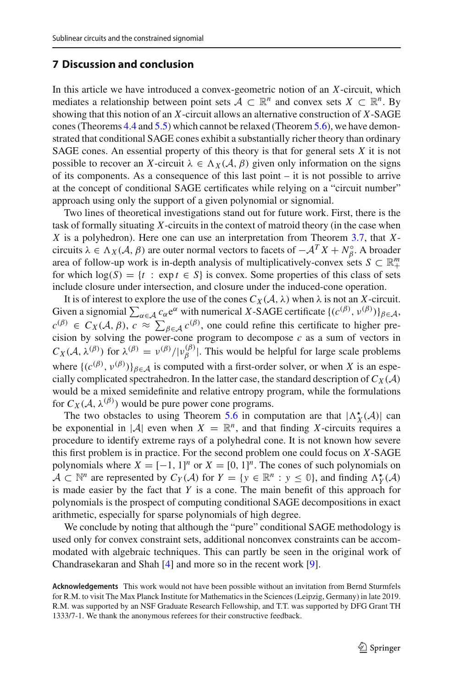# <span id="page-30-0"></span>**7 Discussion and conclusion**

In this article we have introduced a convex-geometric notion of an *X*-circuit, which mediates a relationship between point sets  $A \subset \mathbb{R}^n$  and convex sets  $X \subset \mathbb{R}^n$ . By showing that this notion of an *X*-circuit allows an alternative construction of *X*-SAGE cones (Theorems [4.4](#page-16-0) and [5.5\)](#page-21-0) which cannot be relaxed (Theorem [5.6\)](#page-21-1), we have demonstrated that conditional SAGE cones exhibit a substantially richer theory than ordinary SAGE cones. An essential property of this theory is that for general sets *X* it is not possible to recover an *X*-circuit  $\lambda \in \Lambda_X(\mathcal{A}, \beta)$  given only information on the signs of its components. As a consequence of this last point – it is not possible to arrive at the concept of conditional SAGE certificates while relying on a "circuit number" approach using only the support of a given polynomial or signomial.

Two lines of theoretical investigations stand out for future work. First, there is the task of formally situating *X*-circuits in the context of matroid theory (in the case when *X* is a polyhedron). Here one can use an interpretation from Theorem [3.7,](#page-12-0) that *X*circuits  $\lambda \in \Lambda_X(\mathcal{A}, \beta)$  are outer normal vectors to facets of  $-\mathcal{A}^T X + N_\beta^\circ$ . A broader area of follow-up work is in-depth analysis of multiplicatively-convex sets  $S \subset \mathbb{R}^m_+$ for which  $log(S) = {t : exp t \in S}$  is convex. Some properties of this class of sets include closure under intersection, and closure under the induced-cone operation.

It is of interest to explore the use of the cones  $C_X(\mathcal{A}, \lambda)$  when  $\lambda$  is not an *X*-circuit. Given a signomial  $\sum_{\alpha \in A} c_{\alpha} e^{\alpha}$  with numerical *X*-SAGE certificate  $\{(c^{(\beta)}, v^{(\beta)})\}_{\beta \in A}$ ,  $c^{(\beta)} \in C_X(\mathcal{A}, \beta), c \approx \sum_{\beta \in \mathcal{A}} c^{(\beta)}$ , one could refine this certificate to higher precision by solving the power-cone program to decompose  $c$  as a sum of vectors in  $C_X(\mathcal{A}, \lambda^{(\beta)})$  for  $\lambda^{(\beta)} = \nu^{(\beta)}/|\nu^{(\beta)}|$ . This would be helpful for large scale problems where  $\{(c^{(\beta)}, v^{(\beta)})\}_{\beta \in \mathcal{A}}$  is computed with a first-order solver, or when *X* is an especially complicated spectrahedron. In the latter case, the standard description of  $C_X(\mathcal{A})$ would be a mixed semidefinite and relative entropy program, while the formulations for  $C_X(\mathcal{A}, \lambda^{(\beta)})$  would be pure power cone programs.

The two obstacles to using Theorem [5.6](#page-21-1) in computation are that  $|\Lambda_X^{\star}(\mathcal{A})|$  can be exponential in  $|\mathcal{A}|$  even when  $X = \mathbb{R}^n$ , and that finding X-circuits requires a procedure to identify extreme rays of a polyhedral cone. It is not known how severe this first problem is in practice. For the second problem one could focus on *X*-SAGE polynomials where  $X = [-1, 1]^n$  or  $X = [0, 1]^n$ . The cones of such polynomials on  $A \subset \mathbb{N}^n$  are represented by  $C_Y(A)$  for  $Y = \{y \in \mathbb{R}^n : y \leq 0\}$ , and finding  $\Lambda_Y^{\star}(A)$ is made easier by the fact that *Y* is a cone. The main benefit of this approach for polynomials is the prospect of computing conditional SAGE decompositions in exact arithmetic, especially for sparse polynomials of high degree.

We conclude by noting that although the "pure" conditional SAGE methodology is used only for convex constraint sets, additional nonconvex constraints can be accommodated with algebraic techniques. This can partly be seen in the original work of Chandrasekaran and Shah [\[4](#page-33-6)] and more so in the recent work [\[9\]](#page-33-14).

**Acknowledgements** This work would not have been possible without an invitation from Bernd Sturmfels for R.M. to visit The Max Planck Institute for Mathematics in the Sciences (Leipzig, Germany) in late 2019. R.M. was supported by an NSF Graduate Research Fellowship, and T.T. was supported by DFG Grant TH 1333/7-1. We thank the anonymous referees for their constructive feedback.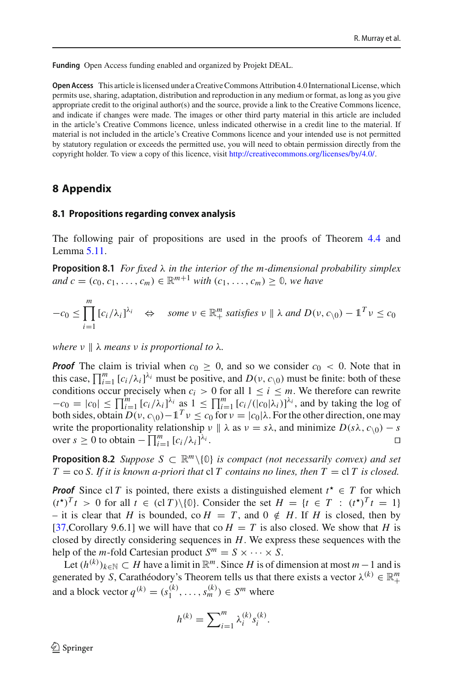**Funding** Open Access funding enabled and organized by Projekt DEAL.

**Open Access** This article is licensed under a Creative Commons Attribution 4.0 International License, which permits use, sharing, adaptation, distribution and reproduction in any medium or format, as long as you give appropriate credit to the original author(s) and the source, provide a link to the Creative Commons licence, and indicate if changes were made. The images or other third party material in this article are included in the article's Creative Commons licence, unless indicated otherwise in a credit line to the material. If material is not included in the article's Creative Commons licence and your intended use is not permitted by statutory regulation or exceeds the permitted use, you will need to obtain permission directly from the copyright holder. To view a copy of this licence, visit [http://creativecommons.org/licenses/by/4.0/.](http://creativecommons.org/licenses/by/4.0/)

## **8 Appendix**

#### **8.1 Propositions regarding convex analysis**

<span id="page-31-0"></span>The following pair of propositions are used in the proofs of Theorem [4.4](#page-16-0) and Lemma [5.11.](#page-24-3)

**Proposition 8.1** *For fixed* λ *in the interior of the m-dimensional probability simplex and*  $c = (c_0, c_1, \ldots, c_m) \in \mathbb{R}^{m+1}$  *with*  $(c_1, \ldots, c_m) > 0$ *, we have* 

$$
-c_0 \le \prod_{i=1}^m [c_i/\lambda_i]^{\lambda_i} \quad \Leftrightarrow \quad \text{some } \nu \in \mathbb{R}_+^m \text{ satisfies } \nu \parallel \lambda \text{ and } D(\nu, c_{\backslash 0}) - \mathbb{1}^T \nu \le c_0
$$

*where*  $\nu \parallel \lambda$  *means*  $\nu$  *is proportional to*  $\lambda$ *.* 

*Proof* The claim is trivial when  $c_0 > 0$ , and so we consider  $c_0 < 0$ . Note that in this case,  $\prod_{i=1}^{m} [c_i/\lambda_i]^{\lambda_i}$  must be positive, and  $D(\nu, c_{\setminus 0})$  must be finite: both of these conditions occur precisely when  $c_i > 0$  for all  $1 \le i \le m$ . We therefore can rewrite  $-c_0 = |c_0| \le \prod_{i=1}^m [c_i/\lambda_i]^{\lambda_i}$  as  $1 \le \prod_{i=1}^m [c_i/((c_0|\lambda_i)]^{\lambda_i}$ , and by taking the log of both sides, obtain *D*(*ν*, *c*<sub>\0</sub>)−1<sup>*T*</sup> ν ≤ *c*<sub>0</sub> for *ν* = |*c*<sub>0</sub>|λ. For the other direction, one may write the proportionality relationship  $\nu \parallel \lambda$  as  $\nu = s\lambda$ , and minimize  $D(s\lambda, c_{\setminus 0}) - s$ <br>over  $s > 0$  to obtain  $-\prod_{i=1}^{m} [c_i/\lambda_i]^{\lambda_i}$ . over  $s \ge 0$  to obtain  $-\prod_{i=1}^{m} [c_i/\lambda_i]$  $\lambda_i$  .  $\Box$ 

<span id="page-31-1"></span>**Proposition 8.2** *Suppose*  $S \subset \mathbb{R}^m \setminus \{0\}$  *is compact (not necessarily convex) and set*  $T = \cos S$ . If it is known a-priori that  $\sin S$  *contains no lines, then*  $T = \sin T$  is closed.

*Proof* Since cl *T* is pointed, there exists a distinguished element  $t^* \in T$  for which  $(t^{\star})^T t > 0$  for all  $t \in (cT) \setminus \{0\}$ . Consider the set  $H = \{t \in T : (t^{\star})^T t = 1\}$ – it is clear that *H* is bounded, co  $H = T$ , and  $0 \notin H$ . If *H* is closed, then by [\[37](#page-34-16),Corollary 9.6.1] we will have that co  $H = T$  is also closed. We show that *H* is closed by directly considering sequences in *H*. We express these sequences with the help of the *m*-fold Cartesian product  $S^m = S \times \cdots \times S$ .

Let  $(h^{(k)})_{k \in \mathbb{N}}$  ⊂ *H* have a limit in  $\mathbb{R}^m$ . Since *H* is of dimension at most *m* −1 and is generated by *S*, Carathéodory's Theorem tells us that there exists a vector  $\lambda^{(k)} \in \mathbb{R}^m_+$ and a block vector  $q^{(k)} = (s_1^{(k)}, \ldots, s_m^{(k)}) \in S^m$  where

$$
h^{(k)} = \sum_{i=1}^{m} \lambda_i^{(k)} s_i^{(k)}.
$$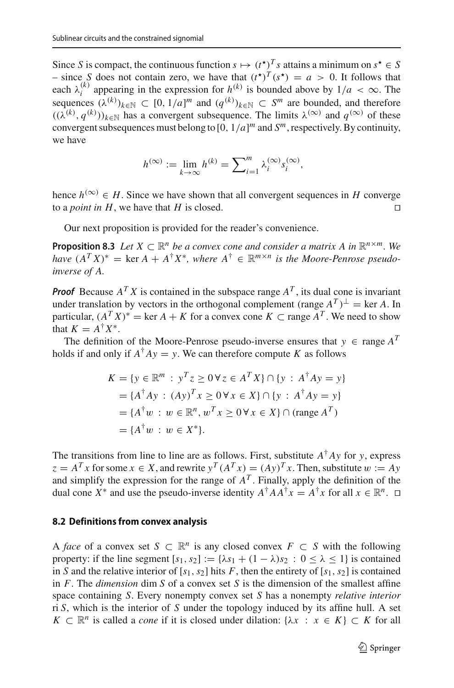Since *S* is compact, the continuous function  $s \mapsto (t^*)^T s$  attains a minimum on  $s^* \in S$ – since *S* does not contain zero, we have that  $(t^{\star})^T(s^{\star}) = a > 0$ . It follows that each  $\lambda_i^{(k)}$  appearing in the expression for  $h^{(k)}$  is bounded above by  $1/a < \infty$ . The sequences  $(\lambda^{(k)})_{k \in \mathbb{N}} \subset [0, 1/a]^m$  and  $(q^{(k)})_{k \in \mathbb{N}} \subset S^m$  are bounded, and therefore  $((\lambda^{(k)}, q^{(k)}))_{k \in \mathbb{N}}$  has a convergent subsequence. The limits  $\lambda^{(\infty)}$  and  $q^{(\infty)}$  of these convergent subsequences must belong to [0, 1/*a*] *<sup>m</sup>* and *Sm*, respectively. By continuity, we have

<span id="page-32-0"></span>
$$
h^{(\infty)} := \lim_{k \to \infty} h^{(k)} = \sum_{i=1}^{m} \lambda_i^{(\infty)} s_i^{(\infty)},
$$

hence  $h^{(\infty)} \in H$ . Since we have shown that all convergent sequences in *H* converge to a *noint in H* we have that *H* is closed to a *point in H*, we have that *H* is closed.

Our next proposition is provided for the reader's convenience.

**Proposition 8.3** *Let*  $X \subset \mathbb{R}^n$  *be a convex cone and consider a matrix A in*  $\mathbb{R}^{n \times m}$ *. We have*  $(A^T X)^* = \text{ker } A + A^{\dagger} X^*$ , where  $A^{\dagger} \in \mathbb{R}^{m \times n}$  is the Moore-Penrose pseudo*inverse of A.*

*Proof* Because  $A^T X$  is contained in the subspace range  $A^T$ , its dual cone is invariant under translation by vectors in the orthogonal complement (range  $A^T$ )<sup>⊥</sup> = ker *A*. In particular,  $(A^T X)^* = \text{ker } A + K$  for a convex cone  $K \subset \text{range } A^T$ . We need to show that  $K = A^{\dagger} X^*$ .

The definition of the Moore-Penrose pseudo-inverse ensures that  $y \in \text{range } A^T$ holds if and only if  $A^{\dagger}Ay = y$ . We can therefore compute *K* as follows

$$
K = \{y \in \mathbb{R}^m : y^T z \ge 0 \forall z \in A^T X\} \cap \{y : A^{\dagger} A y = y\}
$$
  
=  $\{A^{\dagger} A y : (A y)^T x \ge 0 \forall x \in X\} \cap \{y : A^{\dagger} A y = y\}$   
=  $\{A^{\dagger} w : w \in \mathbb{R}^n, w^T x \ge 0 \forall x \in X\} \cap (\text{range } A^T)$   
=  $\{A^{\dagger} w : w \in X^*\}.$ 

The transitions from line to line are as follows. First, substitute  $A^{\dagger}Ay$  for *y*, express  $z = A^T x$  for some  $x \in X$ , and rewrite  $y^T (A^T x) = (Ay)^T x$ . Then, substitute  $w := Ay$ and simplify the expression for the range of  $A<sup>T</sup>$ . Finally, apply the definition of the dual cone  $X^*$  and use the pseudo-inverse identity  $A^{\dagger} A A^{\dagger} x = A^{\dagger} x$  for all  $x \in \mathbb{R}^n$ .  $\Box$ 

#### **8.2 Definitions from convex analysis**

A *face* of a convex set  $S \subset \mathbb{R}^n$  is any closed convex  $F \subset S$  with the following property: if the line segment  $[s_1, s_2] := \{\lambda s_1 + (1 - \lambda)s_2 : 0 \le \lambda \le 1\}$  is contained in *S* and the relative interior of  $[s_1, s_2]$  hits *F*, then the entirety of  $[s_1, s_2]$  is contained in *F*. The *dimension* dim *S* of a convex set *S* is the dimension of the smallest affine space containing *S*. Every nonempty convex set *S* has a nonempty *relative interior* ri *S*, which is the interior of *S* under the topology induced by its affine hull. A set *K* ⊂  $\mathbb{R}^n$  is called a *cone* if it is closed under dilation: { $\lambda x : x \in K$ } ⊂ *K* for all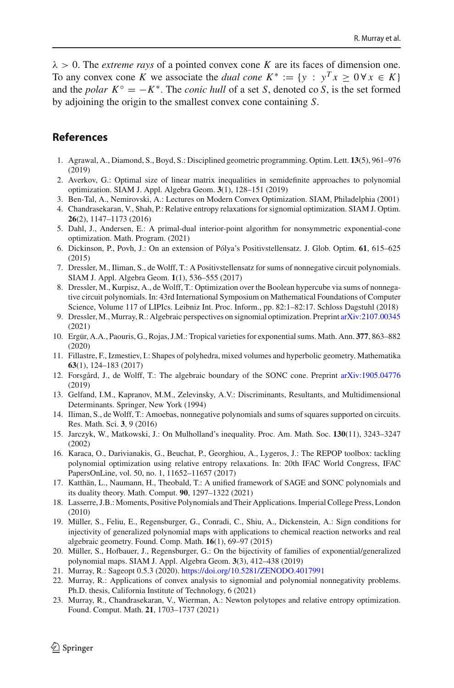$\lambda > 0$ . The *extreme rays* of a pointed convex cone *K* are its faces of dimension one. To any convex cone *K* we associate the *dual cone*  $K^* := \{y : y^T x > 0 \forall x \in K\}$ and the *polar*  $K^{\circ} = -K^*$ . The *conic hull* of a set *S*, denoted co *S*, is the set formed by adjoining the origin to the smallest convex cone containing *S*.

# **References**

- <span id="page-33-11"></span>1. Agrawal, A., Diamond, S., Boyd, S.: Disciplined geometric programming. Optim. Lett. **13**(5), 961–976 (2019)
- <span id="page-33-10"></span>2. Averkov, G.: Optimal size of linear matrix inequalities in semidefinite approaches to polynomial optimization. SIAM J. Appl. Algebra Geom. **3**(1), 128–151 (2019)
- <span id="page-33-22"></span>3. Ben-Tal, A., Nemirovski, A.: Lectures on Modern Convex Optimization. SIAM, Philadelphia (2001)
- <span id="page-33-6"></span>4. Chandrasekaran, V., Shah, P.: Relative entropy relaxations for signomial optimization. SIAM J. Optim. **26**(2), 1147–1173 (2016)
- <span id="page-33-15"></span>5. Dahl, J., Andersen, E.: A primal-dual interior-point algorithm for nonsymmetric exponential-cone optimization. Math. Program. (2021)
- <span id="page-33-13"></span>6. Dickinson, P., Povh, J.: On an extension of Pólya's Positivstellensatz. J. Glob. Optim. **61**, 615–625 (2015)
- <span id="page-33-18"></span>7. Dressler, M., Iliman, S., de Wolff, T.: A Positivstellensatz for sums of nonnegative circuit polynomials. SIAM J. Appl. Algebra Geom. **1**(1), 536–555 (2017)
- <span id="page-33-19"></span>8. Dressler, M., Kurpisz, A., de Wolff, T.: Optimization over the Boolean hypercube via sums of nonnegative circuit polynomials. In: 43rd International Symposium on Mathematical Foundations of Computer Science, Volume 117 of LIPIcs. Leibniz Int. Proc. Inform., pp. 82:1–82:17. Schloss Dagstuhl (2018)
- <span id="page-33-14"></span>9. Dressler, M., Murray, R.: Algebraic perspectives on signomial optimization. Preprint [arXiv:2107.00345](http://arxiv.org/abs/2107.00345) (2021)
- <span id="page-33-2"></span>10. Ergür, A.A., Paouris, G., Rojas, J.M.: Tropical varieties for exponential sums. Math. Ann. **377**, 863–882 (2020)
- <span id="page-33-21"></span>11. Fillastre, F., Izmestiev, I.: Shapes of polyhedra, mixed volumes and hyperbolic geometry. Mathematika **63**(1), 124–183 (2017)
- <span id="page-33-8"></span>12. Forsgård, J., de Wolff, T.: The algebraic boundary of the SONC cone. Preprint [arXiv:1905.04776](http://arxiv.org/abs/1905.04776) (2019)
- <span id="page-33-20"></span>13. Gelfand, I.M., Kapranov, M.M., Zelevinsky, A.V.: Discriminants, Resultants, and Multidimensional Determinants. Springer, New York (1994)
- <span id="page-33-5"></span>14. Iliman, S., de Wolff, T.: Amoebas, nonnegative polynomials and sums of squares supported on circuits. Res. Math. Sci. **3**, 9 (2016)
- <span id="page-33-12"></span>15. Jarczyk, W., Matkowski, J.: On Mulholland's inequality. Proc. Am. Math. Soc. **130**(11), 3243–3247 (2002)
- <span id="page-33-17"></span>16. Karaca, O., Darivianakis, G., Beuchat, P., Georghiou, A., Lygeros, J.: The REPOP toolbox: tackling polynomial optimization using relative entropy relaxations. In: 20th IFAC World Congress, IFAC PapersOnLine, vol. 50, no. 1, 11652–11657 (2017)
- <span id="page-33-9"></span>17. Katthän, L., Naumann, H., Theobald, T.: A unified framework of SAGE and SONC polynomials and its duality theory. Math. Comput. **90**, 1297–1322 (2021)
- <span id="page-33-4"></span>18. Lasserre, J.B.: Moments, Positive Polynomials and Their Applications. Imperial College Press, London (2010)
- <span id="page-33-0"></span>19. Müller, S., Feliu, E., Regensburger, G., Conradi, C., Shiu, A., Dickenstein, A.: Sign conditions for injectivity of generalized polynomial maps with applications to chemical reaction networks and real algebraic geometry. Found. Comp. Math. **16**(1), 69–97 (2015)
- <span id="page-33-1"></span>20. Müller, S., Hofbauer, J., Regensburger, G.: On the bijectivity of families of exponential/generalized polynomial maps. SIAM J. Appl. Algebra Geom. **3**(3), 412–438 (2019)
- <span id="page-33-16"></span>21. Murray, R.: Sageopt 0.5.3 (2020). <https://doi.org/10.5281/ZENODO.4017991>
- <span id="page-33-3"></span>22. Murray, R.: Applications of convex analysis to signomial and polynomial nonnegativity problems. Ph.D. thesis, California Institute of Technology, 6 (2021)
- <span id="page-33-7"></span>23. Murray, R., Chandrasekaran, V., Wierman, A.: Newton polytopes and relative entropy optimization. Found. Comput. Math. **21**, 1703–1737 (2021)